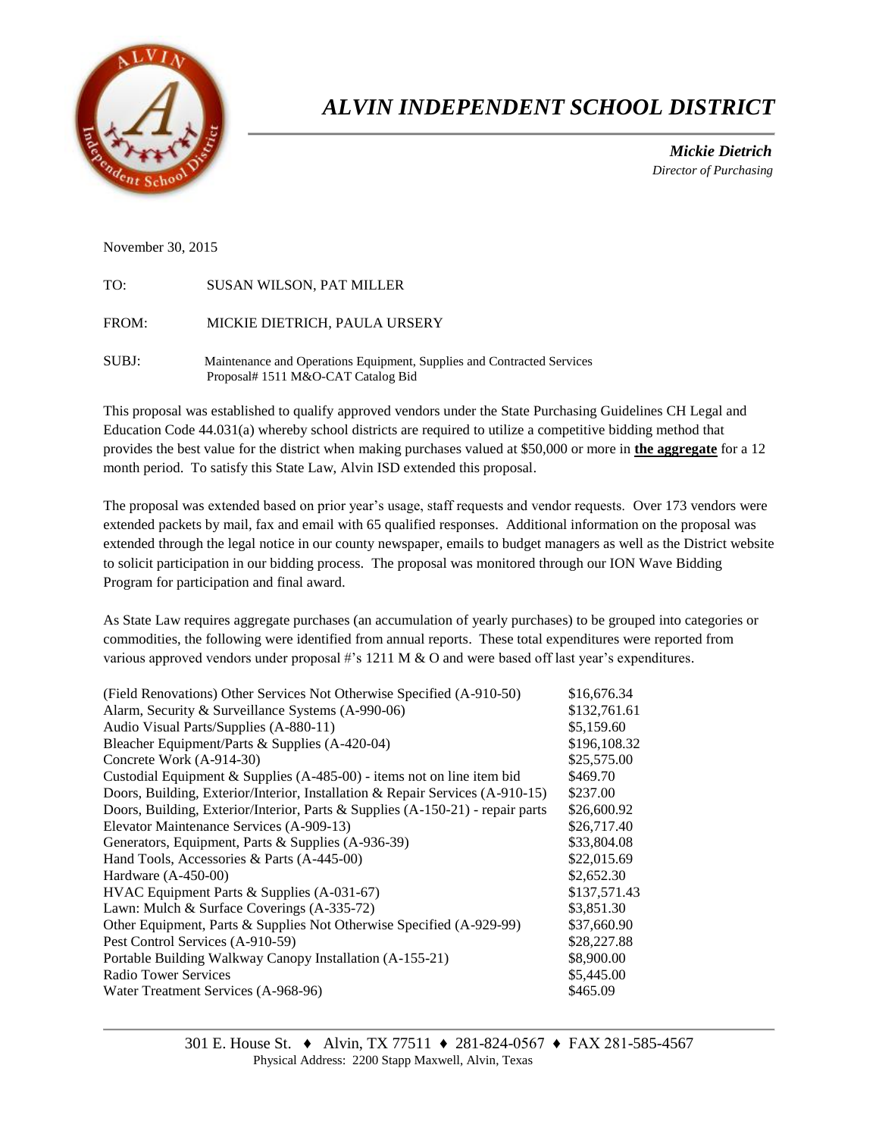

# *ALVIN INDEPENDENT SCHOOL DISTRICT*

 *Mickie Dietrich Director of Purchasing*

November 30, 2015

| TO:   | <b>SUSAN WILSON, PAT MILLER</b>                                                                              |
|-------|--------------------------------------------------------------------------------------------------------------|
| FROM: | MICKIE DIETRICH, PAULA URSERY                                                                                |
| SUBJ: | Maintenance and Operations Equipment, Supplies and Contracted Services<br>Proposal# 1511 M&O-CAT Catalog Bid |

This proposal was established to qualify approved vendors under the State Purchasing Guidelines CH Legal and Education Code 44.031(a) whereby school districts are required to utilize a competitive bidding method that provides the best value for the district when making purchases valued at \$50,000 or more in **the aggregate** for a 12 month period. To satisfy this State Law, Alvin ISD extended this proposal.

The proposal was extended based on prior year's usage, staff requests and vendor requests. Over 173 vendors were extended packets by mail, fax and email with 65 qualified responses. Additional information on the proposal was extended through the legal notice in our county newspaper, emails to budget managers as well as the District website to solicit participation in our bidding process. The proposal was monitored through our ION Wave Bidding Program for participation and final award.

As State Law requires aggregate purchases (an accumulation of yearly purchases) to be grouped into categories or commodities, the following were identified from annual reports. These total expenditures were reported from various approved vendors under proposal #'s 1211 M & O and were based off last year's expenditures.

| (Field Renovations) Other Services Not Otherwise Specified (A-910-50)          | \$16,676.34  |
|--------------------------------------------------------------------------------|--------------|
| Alarm, Security & Surveillance Systems (A-990-06)                              | \$132,761.61 |
| Audio Visual Parts/Supplies (A-880-11)                                         | \$5,159.60   |
| Bleacher Equipment/Parts & Supplies (A-420-04)                                 | \$196,108.32 |
| Concrete Work (A-914-30)                                                       | \$25,575.00  |
| Custodial Equipment & Supplies (A-485-00) - items not on line item bid         | \$469.70     |
| Doors, Building, Exterior/Interior, Installation & Repair Services (A-910-15)  | \$237.00     |
| Doors, Building, Exterior/Interior, Parts & Supplies (A-150-21) - repair parts | \$26,600.92  |
| Elevator Maintenance Services (A-909-13)                                       | \$26,717.40  |
| Generators, Equipment, Parts & Supplies (A-936-39)                             | \$33,804.08  |
| Hand Tools, Accessories & Parts (A-445-00)                                     | \$22,015.69  |
| Hardware $(A-450-00)$                                                          | \$2,652.30   |
| HVAC Equipment Parts & Supplies (A-031-67)                                     | \$137,571.43 |
| Lawn: Mulch & Surface Coverings (A-335-72)                                     | \$3,851.30   |
| Other Equipment, Parts & Supplies Not Otherwise Specified (A-929-99)           | \$37,660.90  |
| Pest Control Services (A-910-59)                                               | \$28,227.88  |
| Portable Building Walkway Canopy Installation (A-155-21)                       | \$8,900.00   |
| Radio Tower Services                                                           | \$5,445.00   |
| Water Treatment Services (A-968-96)                                            | \$465.09     |
|                                                                                |              |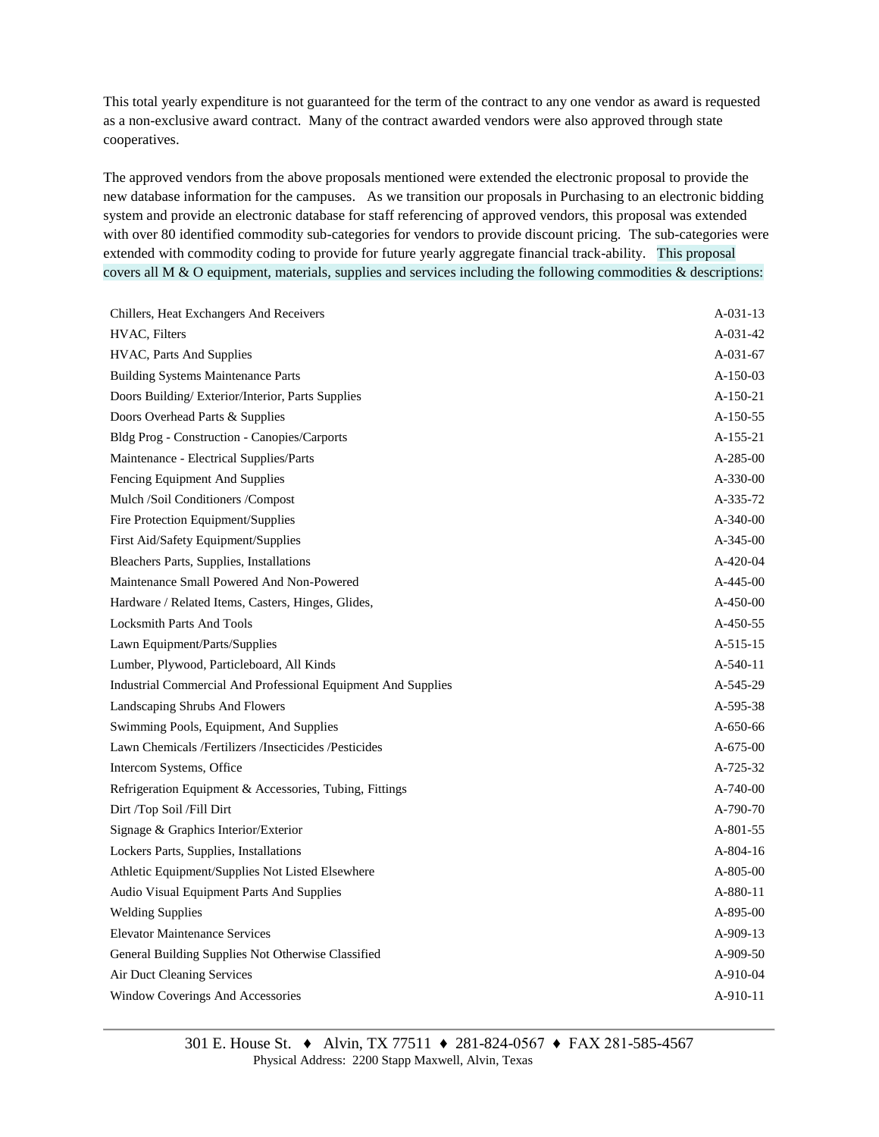This total yearly expenditure is not guaranteed for the term of the contract to any one vendor as award is requested as a non-exclusive award contract. Many of the contract awarded vendors were also approved through state cooperatives.

The approved vendors from the above proposals mentioned were extended the electronic proposal to provide the new database information for the campuses. As we transition our proposals in Purchasing to an electronic bidding system and provide an electronic database for staff referencing of approved vendors, this proposal was extended with over 80 identified commodity sub-categories for vendors to provide discount pricing. The sub-categories were extended with commodity coding to provide for future yearly aggregate financial track-ability. This proposal covers all M  $\&$  O equipment, materials, supplies and services including the following commodities  $\&$  descriptions:

| Chillers, Heat Exchangers And Receivers                       | A-031-13       |
|---------------------------------------------------------------|----------------|
| HVAC, Filters                                                 | A-031-42       |
| HVAC, Parts And Supplies                                      | A-031-67       |
| <b>Building Systems Maintenance Parts</b>                     | $A-150-03$     |
| Doors Building/Exterior/Interior, Parts Supplies              | $A-150-21$     |
| Doors Overhead Parts & Supplies                               | A-150-55       |
| Bldg Prog - Construction - Canopies/Carports                  | $A-155-21$     |
| Maintenance - Electrical Supplies/Parts                       | $A-285-00$     |
| Fencing Equipment And Supplies                                | A-330-00       |
| Mulch /Soil Conditioners /Compost                             | A-335-72       |
| Fire Protection Equipment/Supplies                            | $A-340-00$     |
| First Aid/Safety Equipment/Supplies                           | $A-345-00$     |
| Bleachers Parts, Supplies, Installations                      | A-420-04       |
| Maintenance Small Powered And Non-Powered                     | $A-445-00$     |
| Hardware / Related Items, Casters, Hinges, Glides,            | $A-450-00$     |
| <b>Locksmith Parts And Tools</b>                              | A-450-55       |
| Lawn Equipment/Parts/Supplies                                 | $A-515-15$     |
| Lumber, Plywood, Particleboard, All Kinds                     | $A-540-11$     |
| Industrial Commercial And Professional Equipment And Supplies | A-545-29       |
| Landscaping Shrubs And Flowers                                | A-595-38       |
| Swimming Pools, Equipment, And Supplies                       | $A - 650 - 66$ |
| Lawn Chemicals /Fertilizers /Insecticides /Pesticides         | $A - 675 - 00$ |
| Intercom Systems, Office                                      | A-725-32       |
| Refrigeration Equipment & Accessories, Tubing, Fittings       | $A-740-00$     |
| Dirt /Top Soil /Fill Dirt                                     | $A-790-70$     |
| Signage & Graphics Interior/Exterior                          | A-801-55       |
| Lockers Parts, Supplies, Installations                        | $A-804-16$     |
| Athletic Equipment/Supplies Not Listed Elsewhere              | $A-805-00$     |
| Audio Visual Equipment Parts And Supplies                     | A-880-11       |
| <b>Welding Supplies</b>                                       | $A-895-00$     |
| <b>Elevator Maintenance Services</b>                          | A-909-13       |
| General Building Supplies Not Otherwise Classified            | A-909-50       |
| Air Duct Cleaning Services                                    | A-910-04       |
| Window Coverings And Accessories                              | A-910-11       |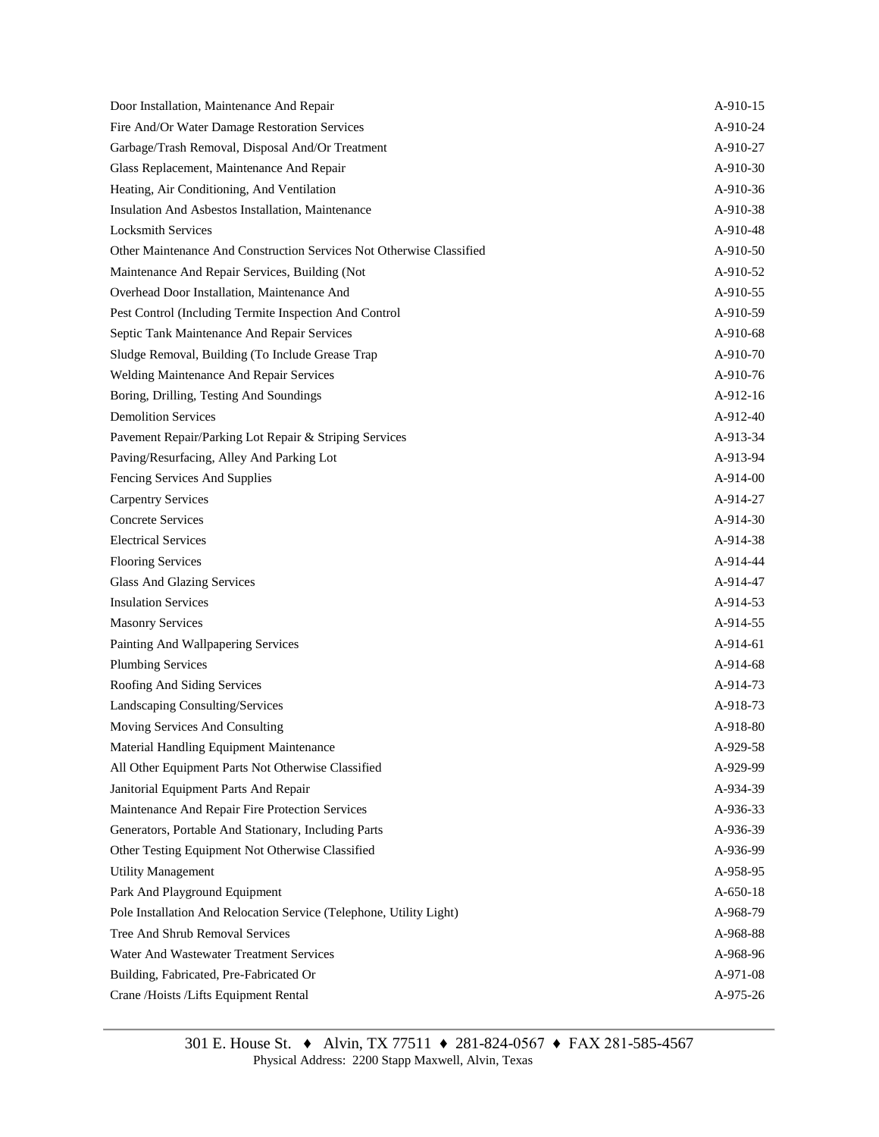| Door Installation, Maintenance And Repair                            | A-910-15       |
|----------------------------------------------------------------------|----------------|
| Fire And/Or Water Damage Restoration Services                        | A-910-24       |
| Garbage/Trash Removal, Disposal And/Or Treatment                     | A-910-27       |
| Glass Replacement, Maintenance And Repair                            | A-910-30       |
| Heating, Air Conditioning, And Ventilation                           | A-910-36       |
| Insulation And Asbestos Installation, Maintenance                    | A-910-38       |
| <b>Locksmith Services</b>                                            | A-910-48       |
| Other Maintenance And Construction Services Not Otherwise Classified | A-910-50       |
| Maintenance And Repair Services, Building (Not                       | A-910-52       |
| Overhead Door Installation, Maintenance And                          | A-910-55       |
| Pest Control (Including Termite Inspection And Control               | A-910-59       |
| Septic Tank Maintenance And Repair Services                          | A-910-68       |
| Sludge Removal, Building (To Include Grease Trap                     | A-910-70       |
| Welding Maintenance And Repair Services                              | A-910-76       |
| Boring, Drilling, Testing And Soundings                              | A-912-16       |
| <b>Demolition Services</b>                                           | A-912-40       |
| Pavement Repair/Parking Lot Repair & Striping Services               | A-913-34       |
| Paving/Resurfacing, Alley And Parking Lot                            | A-913-94       |
| Fencing Services And Supplies                                        | $A-914-00$     |
| <b>Carpentry Services</b>                                            | A-914-27       |
| <b>Concrete Services</b>                                             | A-914-30       |
| <b>Electrical Services</b>                                           | A-914-38       |
| <b>Flooring Services</b>                                             | A-914-44       |
| <b>Glass And Glazing Services</b>                                    | A-914-47       |
| <b>Insulation Services</b>                                           | A-914-53       |
| <b>Masonry Services</b>                                              | A-914-55       |
| Painting And Wallpapering Services                                   | A-914-61       |
| <b>Plumbing Services</b>                                             | A-914-68       |
| Roofing And Siding Services                                          | A-914-73       |
| Landscaping Consulting/Services                                      | A-918-73       |
| Moving Services And Consulting                                       | A-918-80       |
| Material Handling Equipment Maintenance                              | A-929-58       |
| All Other Equipment Parts Not Otherwise Classified                   | A-929-99       |
| Janitorial Equipment Parts And Repair                                | A-934-39       |
| Maintenance And Repair Fire Protection Services                      | A-936-33       |
| Generators, Portable And Stationary, Including Parts                 | A-936-39       |
| Other Testing Equipment Not Otherwise Classified                     | A-936-99       |
| <b>Utility Management</b>                                            | A-958-95       |
| Park And Playground Equipment                                        | $A - 650 - 18$ |
| Pole Installation And Relocation Service (Telephone, Utility Light)  | A-968-79       |
| Tree And Shrub Removal Services                                      | A-968-88       |
| Water And Wastewater Treatment Services                              | A-968-96       |
| Building, Fabricated, Pre-Fabricated Or                              | A-971-08       |
| Crane /Hoists /Lifts Equipment Rental                                | A-975-26       |
|                                                                      |                |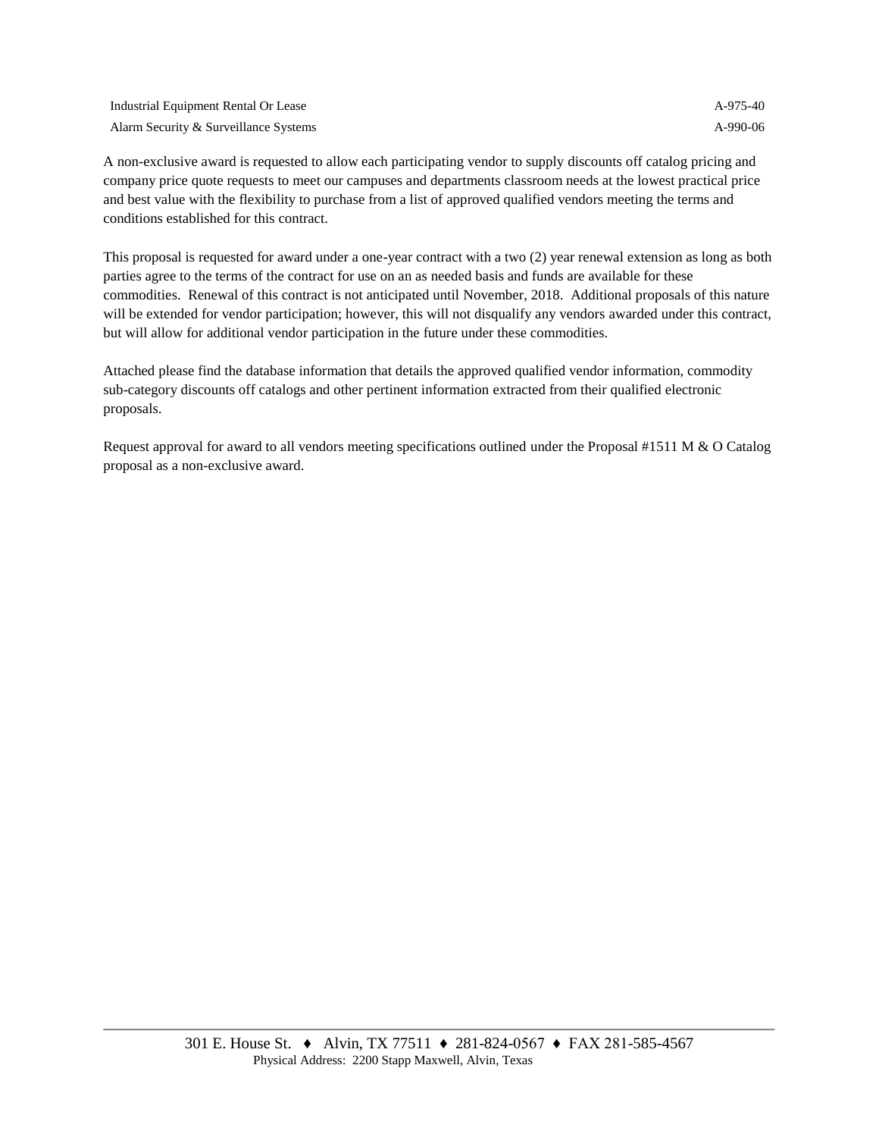| Industrial Equipment Rental Or Lease  | A-975-40 |
|---------------------------------------|----------|
| Alarm Security & Surveillance Systems | A-990-06 |

A non-exclusive award is requested to allow each participating vendor to supply discounts off catalog pricing and company price quote requests to meet our campuses and departments classroom needs at the lowest practical price and best value with the flexibility to purchase from a list of approved qualified vendors meeting the terms and conditions established for this contract.

This proposal is requested for award under a one-year contract with a two (2) year renewal extension as long as both parties agree to the terms of the contract for use on an as needed basis and funds are available for these commodities. Renewal of this contract is not anticipated until November, 2018. Additional proposals of this nature will be extended for vendor participation; however, this will not disqualify any vendors awarded under this contract, but will allow for additional vendor participation in the future under these commodities.

Attached please find the database information that details the approved qualified vendor information, commodity sub-category discounts off catalogs and other pertinent information extracted from their qualified electronic proposals.

Request approval for award to all vendors meeting specifications outlined under the Proposal #1511 M & O Catalog proposal as a non-exclusive award.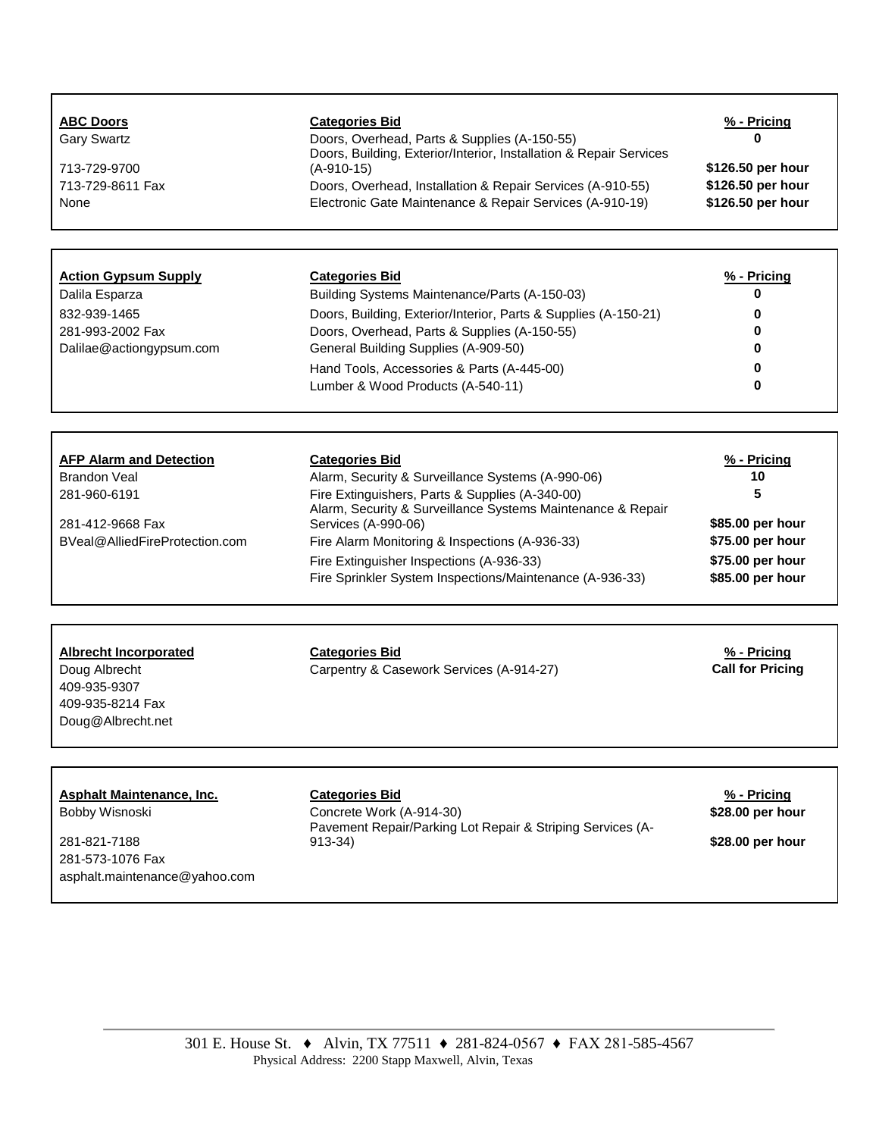| <b>ABC Doors</b><br><b>Gary Swartz</b><br>713-729-9700<br>713-729-8611 Fax<br>None                                      | <b>Categories Bid</b><br>Doors, Overhead, Parts & Supplies (A-150-55)<br>Doors, Building, Exterior/Interior, Installation & Repair Services<br>$(A-910-15)$<br>Doors, Overhead, Installation & Repair Services (A-910-55)<br>Electronic Gate Maintenance & Repair Services (A-910-19)                                                                                         | % - Pricing<br>n<br>\$126.50 per hour<br>\$126.50 per hour<br>\$126.50 per hour                        |
|-------------------------------------------------------------------------------------------------------------------------|-------------------------------------------------------------------------------------------------------------------------------------------------------------------------------------------------------------------------------------------------------------------------------------------------------------------------------------------------------------------------------|--------------------------------------------------------------------------------------------------------|
|                                                                                                                         |                                                                                                                                                                                                                                                                                                                                                                               |                                                                                                        |
| <b>Action Gypsum Supply</b><br>Dalila Esparza<br>832-939-1465<br>281-993-2002 Fax<br>Dalilae@actiongypsum.com           | <b>Categories Bid</b><br>Building Systems Maintenance/Parts (A-150-03)<br>Doors, Building, Exterior/Interior, Parts & Supplies (A-150-21)<br>Doors, Overhead, Parts & Supplies (A-150-55)<br>General Building Supplies (A-909-50)<br>Hand Tools, Accessories & Parts (A-445-00)<br>Lumber & Wood Products (A-540-11)                                                          | % - Pricing<br>0<br>n<br>n<br>0<br>0                                                                   |
| <b>AFP Alarm and Detection</b><br>Brandon Veal<br>281-960-6191<br>281-412-9668 Fax<br>BVeal@AlliedFireProtection.com    | <b>Categories Bid</b><br>Alarm, Security & Surveillance Systems (A-990-06)<br>Fire Extinguishers, Parts & Supplies (A-340-00)<br>Alarm, Security & Surveillance Systems Maintenance & Repair<br>Services (A-990-06)<br>Fire Alarm Monitoring & Inspections (A-936-33)<br>Fire Extinguisher Inspections (A-936-33)<br>Fire Sprinkler System Inspections/Maintenance (A-936-33) | % - Pricing<br>10<br>5<br>\$85.00 per hour<br>\$75.00 per hour<br>\$75.00 per hour<br>\$85.00 per hour |
| <b>Albrecht Incorporated</b><br>Doug Albrecht<br>409-935-9307<br>409-935-8214 Fax<br>Doug@Albrecht.net                  | <b>Categories Bid</b><br>Carpentry & Casework Services (A-914-27)                                                                                                                                                                                                                                                                                                             | % - Pricing<br><b>Call for Pricing</b>                                                                 |
| <b>Asphalt Maintenance, Inc.</b><br>Bobby Wisnoski<br>281-821-7188<br>281-573-1076 Fax<br>asphalt.maintenance@yahoo.com | <b>Categories Bid</b><br>Concrete Work (A-914-30)<br>Pavement Repair/Parking Lot Repair & Striping Services (A-<br>$913 - 34$                                                                                                                                                                                                                                                 | % - Pricing<br>\$28.00 per hour<br>\$28.00 per hour                                                    |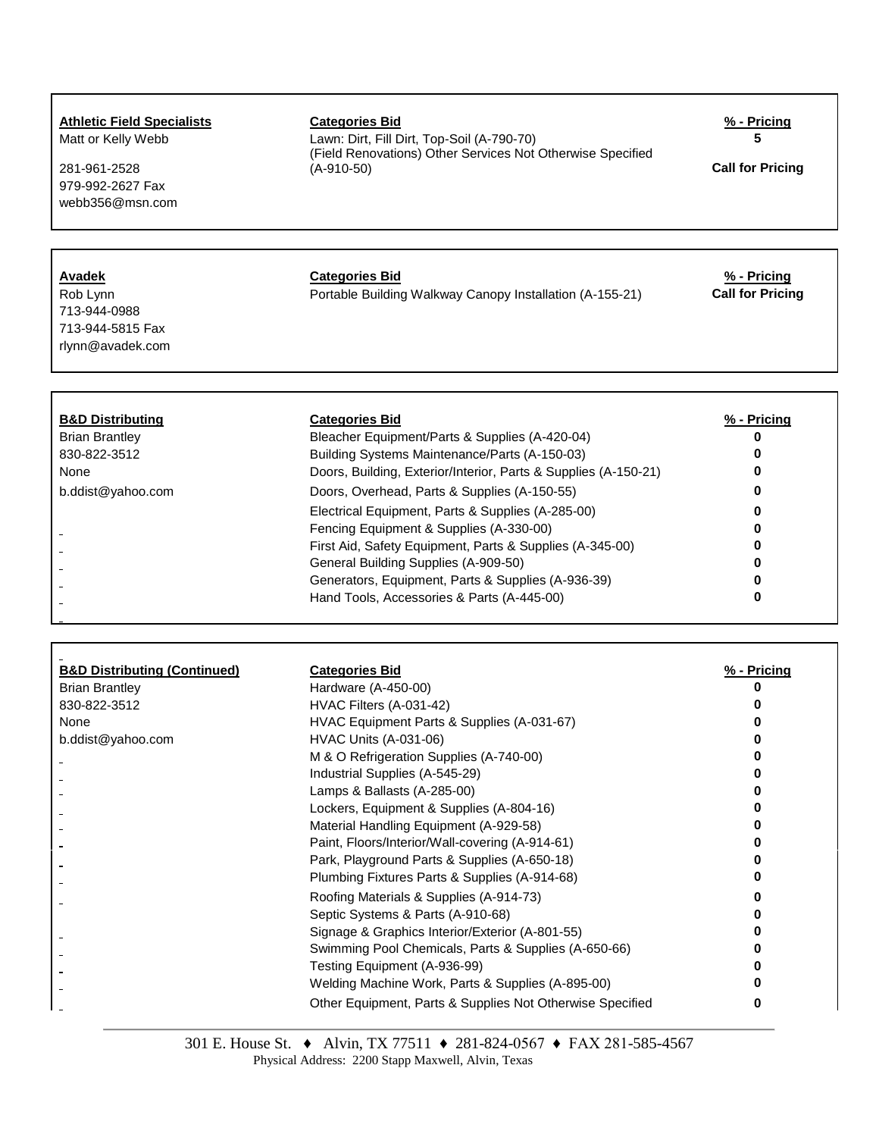### **Athletic Field Specialists Categories Bid % - Pricing**

281-961-2528 979-992-2627 Fax webb356@msn.com

Matt or Kelly Webb Lawn: Dirt, Fill Dirt, Top-Soil (A-790-70) **5** (Field Renovations) Other Services Not Otherwise Specified

**Call for Pricing** 

### **Avadek Categories Bid % - Pricing**

Rob Lynn **Call for Pricing** Portable Building Walkway Canopy Installation (A-155-21) **Call for Pricing** 

| <b>B&amp;D Distributing</b> | <b>Categories Bid</b>                                           | % - Pricing |
|-----------------------------|-----------------------------------------------------------------|-------------|
| <b>Brian Brantley</b>       | Bleacher Equipment/Parts & Supplies (A-420-04)                  |             |
| 830-822-3512                | Building Systems Maintenance/Parts (A-150-03)                   |             |
| None                        | Doors, Building, Exterior/Interior, Parts & Supplies (A-150-21) |             |
| b.ddist@yahoo.com           | Doors, Overhead, Parts & Supplies (A-150-55)                    |             |
|                             | Electrical Equipment, Parts & Supplies (A-285-00)               |             |
|                             | Fencing Equipment & Supplies (A-330-00)                         |             |
|                             | First Aid, Safety Equipment, Parts & Supplies (A-345-00)        |             |
|                             | General Building Supplies (A-909-50)                            |             |
|                             | Generators, Equipment, Parts & Supplies (A-936-39)              |             |
|                             | Hand Tools, Accessories & Parts (A-445-00)                      |             |

| <b>B&amp;D Distributing (Continued)</b> | <b>Categories Bid</b>                                     | % - Pricing |
|-----------------------------------------|-----------------------------------------------------------|-------------|
| <b>Brian Brantley</b>                   | Hardware (A-450-00)                                       |             |
| 830-822-3512                            | HVAC Filters (A-031-42)                                   |             |
| None                                    | HVAC Equipment Parts & Supplies (A-031-67)                |             |
| b.ddist@yahoo.com                       | <b>HVAC Units (A-031-06)</b>                              |             |
|                                         | M & O Refrigeration Supplies (A-740-00)                   |             |
|                                         | Industrial Supplies (A-545-29)                            |             |
|                                         | Lamps & Ballasts (A-285-00)                               |             |
|                                         | Lockers, Equipment & Supplies (A-804-16)                  |             |
|                                         | Material Handling Equipment (A-929-58)                    |             |
|                                         | Paint, Floors/Interior/Wall-covering (A-914-61)           |             |
|                                         | Park, Playground Parts & Supplies (A-650-18)              |             |
|                                         | Plumbing Fixtures Parts & Supplies (A-914-68)             |             |
|                                         | Roofing Materials & Supplies (A-914-73)                   |             |
|                                         | Septic Systems & Parts (A-910-68)                         |             |
|                                         | Signage & Graphics Interior/Exterior (A-801-55)           |             |
|                                         | Swimming Pool Chemicals, Parts & Supplies (A-650-66)      |             |
|                                         | Testing Equipment (A-936-99)                              |             |
|                                         | Welding Machine Work, Parts & Supplies (A-895-00)         |             |
|                                         | Other Equipment, Parts & Supplies Not Otherwise Specified |             |

713-944-0988 713-944-5815 Fax rlynn@avadek.com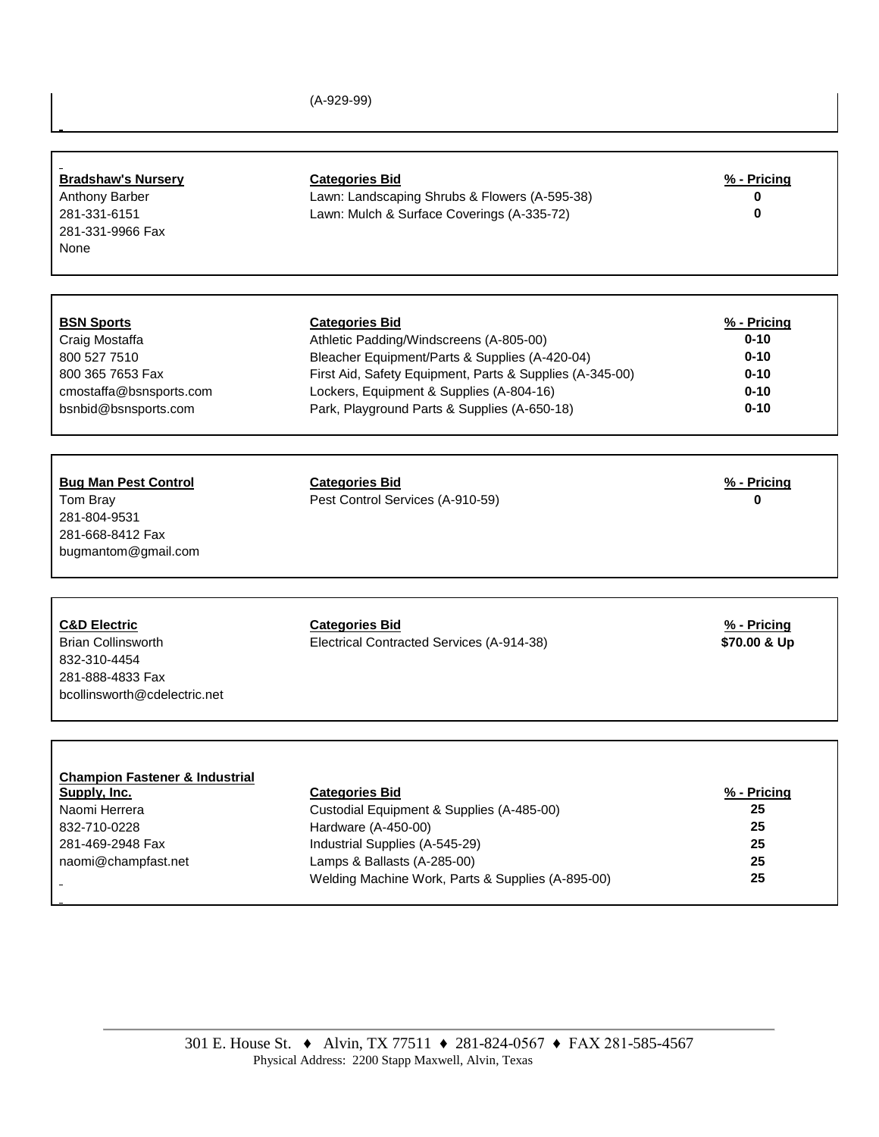(A-929-99)

| <b>Bradshaw's Nursery</b><br>Anthony Barber<br>281-331-6151<br>281-331-9966 Fax<br>None                                               | <b>Categories Bid</b><br>Lawn: Landscaping Shrubs & Flowers (A-595-38)<br>Lawn: Mulch & Surface Coverings (A-335-72)                                                                                                       | % - Pricing<br>0<br>0                                       |
|---------------------------------------------------------------------------------------------------------------------------------------|----------------------------------------------------------------------------------------------------------------------------------------------------------------------------------------------------------------------------|-------------------------------------------------------------|
| <b>BSN Sports</b><br>Craig Mostaffa<br>800 527 7510<br>800 365 7653 Fax<br>cmostaffa@bsnsports.com                                    | <b>Categories Bid</b><br>Athletic Padding/Windscreens (A-805-00)<br>Bleacher Equipment/Parts & Supplies (A-420-04)<br>First Aid, Safety Equipment, Parts & Supplies (A-345-00)<br>Lockers, Equipment & Supplies (A-804-16) | % - Pricing<br>$0 - 10$<br>$0 - 10$<br>$0 - 10$<br>$0 - 10$ |
| bsnbid@bsnsports.com<br><b>Bug Man Pest Control</b><br>Tom Bray<br>281-804-9531<br>281-668-8412 Fax<br>bugmantom@gmail.com            | Park, Playground Parts & Supplies (A-650-18)<br><b>Categories Bid</b><br>Pest Control Services (A-910-59)                                                                                                                  | $0 - 10$<br>% - Pricing<br>Λ                                |
| <b>C&amp;D Electric</b><br><b>Brian Collinsworth</b><br>832-310-4454<br>281-888-4833 Fax<br>bcollinsworth@cdelectric.net              | <b>Categories Bid</b><br>Electrical Contracted Services (A-914-38)                                                                                                                                                         | % - Pricing<br>\$70.00 & Up                                 |
| <b>Champion Fastener &amp; Industrial</b><br>Supply, Inc.<br>Naomi Herrera<br>832-710-0228<br>281-469-2948 Fax<br>naomi@champfast.net | <b>Categories Bid</b><br>Custodial Equipment & Supplies (A-485-00)<br>Hardware (A-450-00)<br>Industrial Supplies (A-545-29)<br>Lamps & Ballasts (A-285-00)<br>Welding Machine Work, Parts & Supplies (A-895-00)            | $% - Pricing$<br>25<br>25<br>25<br>25<br>25                 |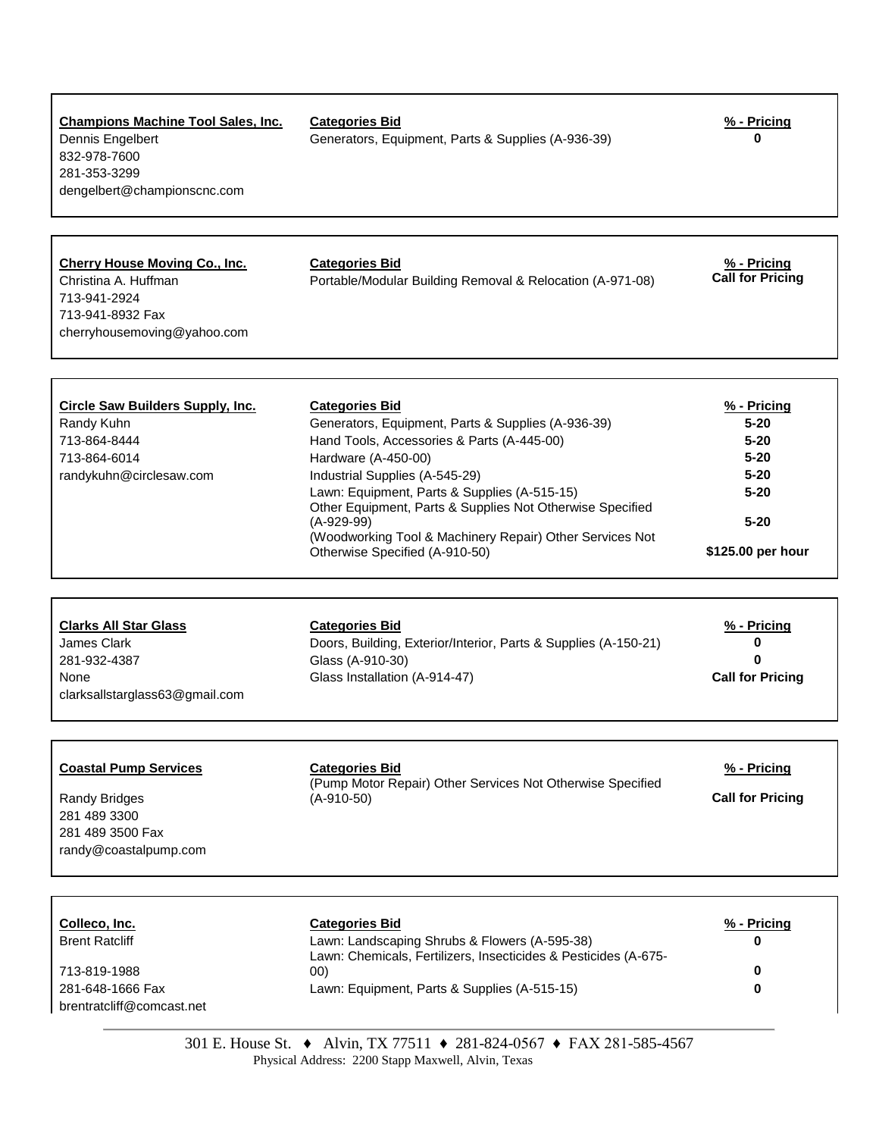| <b>Champions Machine Tool Sales, Inc.</b><br>Dennis Engelbert<br>832-978-7600<br>281-353-3299<br>dengelbert@championscnc.com | <b>Categories Bid</b><br>Generators, Equipment, Parts & Supplies (A-936-39)        | % - Pricing<br>0                       |
|------------------------------------------------------------------------------------------------------------------------------|------------------------------------------------------------------------------------|----------------------------------------|
| <b>Cherry House Moving Co., Inc.</b><br>Christina A. Huffman<br>713-941-2924<br>713-941-8932 Fax                             | <b>Categories Bid</b><br>Portable/Modular Building Removal & Relocation (A-971-08) | % - Pricing<br><b>Call for Pricing</b> |

 $\mathbf{I}$ 

| Circle Saw Builders Supply, Inc. | <b>Categories Bid</b>                                                                                     | % - Pricing       |
|----------------------------------|-----------------------------------------------------------------------------------------------------------|-------------------|
| Randy Kuhn                       | Generators, Equipment, Parts & Supplies (A-936-39)                                                        | $5 - 20$          |
| 713-864-8444                     | Hand Tools, Accessories & Parts (A-445-00)                                                                | $5 - 20$          |
| 713-864-6014                     | Hardware (A-450-00)                                                                                       | $5 - 20$          |
| randykuhn@circlesaw.com          | Industrial Supplies (A-545-29)                                                                            | $5 - 20$          |
|                                  | Lawn: Equipment, Parts & Supplies (A-515-15)<br>Other Equipment, Parts & Supplies Not Otherwise Specified | $5 - 20$          |
|                                  | (A-929-99)<br>(Woodworking Tool & Machinery Repair) Other Services Not                                    | $5 - 20$          |
|                                  | Otherwise Specified (A-910-50)                                                                            | \$125.00 per hour |

cherryhousemoving@yahoo.com

| <b>Clarks All Star Glass</b>   | <b>Categories Bid</b>                                           | % - Pricing             |
|--------------------------------|-----------------------------------------------------------------|-------------------------|
| James Clark                    | Doors, Building, Exterior/Interior, Parts & Supplies (A-150-21) |                         |
| 281-932-4387                   | Glass (A-910-30)                                                |                         |
| None                           | Glass Installation (A-914-47)                                   | <b>Call for Pricing</b> |
| clarksallstarglass63@gmail.com |                                                                 |                         |

| <b>Coastal Pump Services</b>                                               | <b>Categories Bid</b><br>(Pump Motor Repair) Other Services Not Otherwise Specified | % - Pricing             |
|----------------------------------------------------------------------------|-------------------------------------------------------------------------------------|-------------------------|
| Randy Bridges<br>281 489 3300<br>281 489 3500 Fax<br>randy@coastalpump.com | $(A-910-50)$                                                                        | <b>Call for Pricing</b> |

| Colleco, Inc.                                 | <b>Categories Bid</b>                                                                                            | % - Pricing |
|-----------------------------------------------|------------------------------------------------------------------------------------------------------------------|-------------|
| <b>Brent Ratcliff</b>                         | Lawn: Landscaping Shrubs & Flowers (A-595-38)<br>Lawn: Chemicals, Fertilizers, Insecticides & Pesticides (A-675- |             |
| 713-819-1988                                  | 00)                                                                                                              |             |
| 281-648-1666 Fax<br>brentratcliff@comcast.net | Lawn: Equipment, Parts & Supplies (A-515-15)                                                                     |             |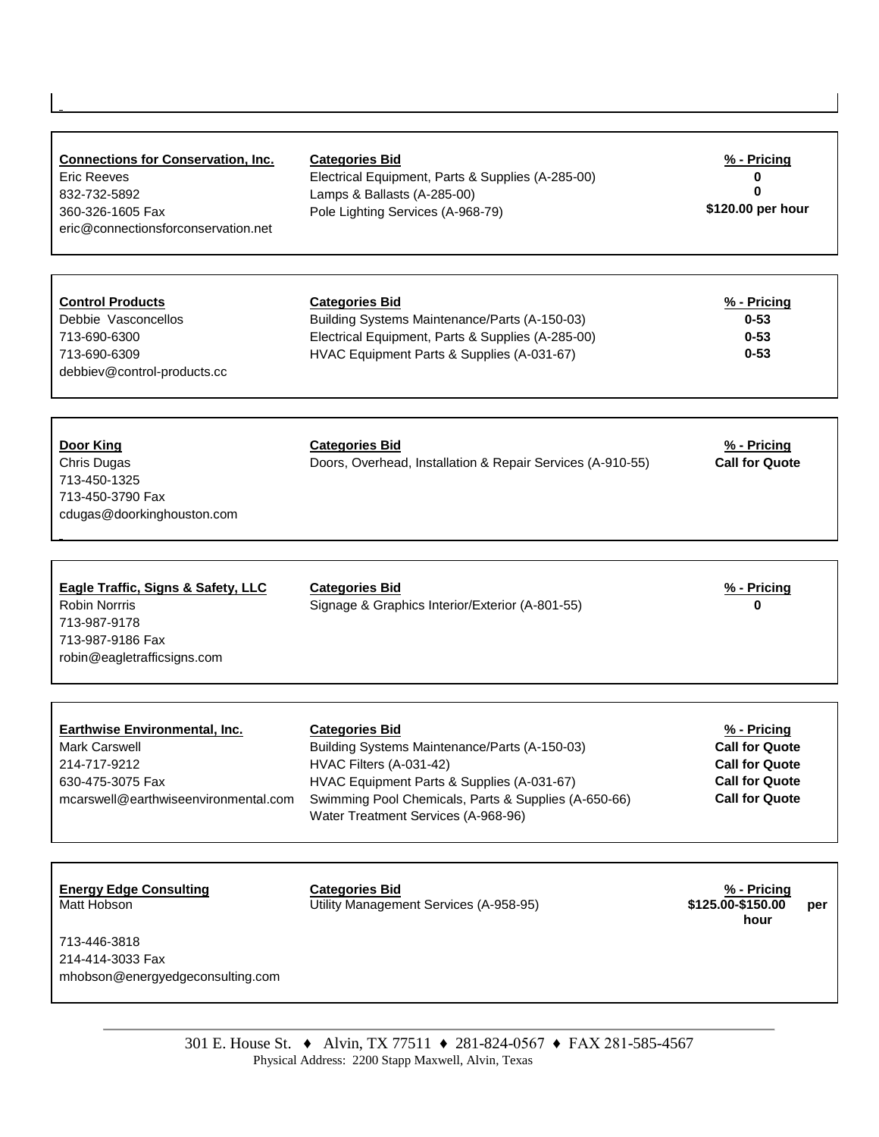| <b>Connections for Conservation, Inc.</b><br><b>Eric Reeves</b><br>832-732-5892<br>360-326-1605 Fax<br>eric@connectionsforconservation.net | <b>Categories Bid</b><br>Electrical Equipment, Parts & Supplies (A-285-00)<br>Lamps & Ballasts (A-285-00)<br>Pole Lighting Services (A-968-79)                                                                                                 | % - Pricing<br>0<br>0<br>\$120.00 per hour                                                                        |
|--------------------------------------------------------------------------------------------------------------------------------------------|------------------------------------------------------------------------------------------------------------------------------------------------------------------------------------------------------------------------------------------------|-------------------------------------------------------------------------------------------------------------------|
| <b>Control Products</b><br>Debbie Vasconcellos<br>713-690-6300<br>713-690-6309<br>debbiev@control-products.cc                              | <b>Categories Bid</b><br>Building Systems Maintenance/Parts (A-150-03)<br>Electrical Equipment, Parts & Supplies (A-285-00)<br>HVAC Equipment Parts & Supplies (A-031-67)                                                                      | % - Pricing<br>$0 - 53$<br>$0 - 53$<br>$0 - 53$                                                                   |
| <b>Door King</b><br>Chris Dugas<br>713-450-1325<br>713-450-3790 Fax<br>cdugas@doorkinghouston.com                                          | <b>Categories Bid</b><br>Doors, Overhead, Installation & Repair Services (A-910-55)                                                                                                                                                            | % - Pricing<br><b>Call for Quote</b>                                                                              |
| <b>Eagle Traffic, Signs &amp; Safety, LLC</b><br><b>Robin Norrris</b><br>713-987-9178<br>713-987-9186 Fax<br>robin@eagletrafficsigns.com   | <b>Categories Bid</b><br>Signage & Graphics Interior/Exterior (A-801-55)                                                                                                                                                                       | % - Pricing<br>0                                                                                                  |
| <b>Earthwise Environmental, Inc.</b><br><b>Mark Carswell</b><br>214-717-9212<br>630-475-3075 Fax<br>mcarswell@earthwiseenvironmental.com   | <b>Categories Bid</b><br>Building Systems Maintenance/Parts (A-150-03)<br>HVAC Filters (A-031-42)<br>HVAC Equipment Parts & Supplies (A-031-67)<br>Swimming Pool Chemicals, Parts & Supplies (A-650-66)<br>Water Treatment Services (A-968-96) | $% - Pricing$<br><b>Call for Quote</b><br><b>Call for Quote</b><br><b>Call for Quote</b><br><b>Call for Quote</b> |
| <b>Energy Edge Consulting</b><br>Matt Hobson<br>713-446-3818<br>214-414-3033 Fax<br>mhobson@energyedgeconsulting.com                       | <b>Categories Bid</b><br>Utility Management Services (A-958-95)                                                                                                                                                                                | % - Pricing<br>\$125.00-\$150.00<br>per<br>hour                                                                   |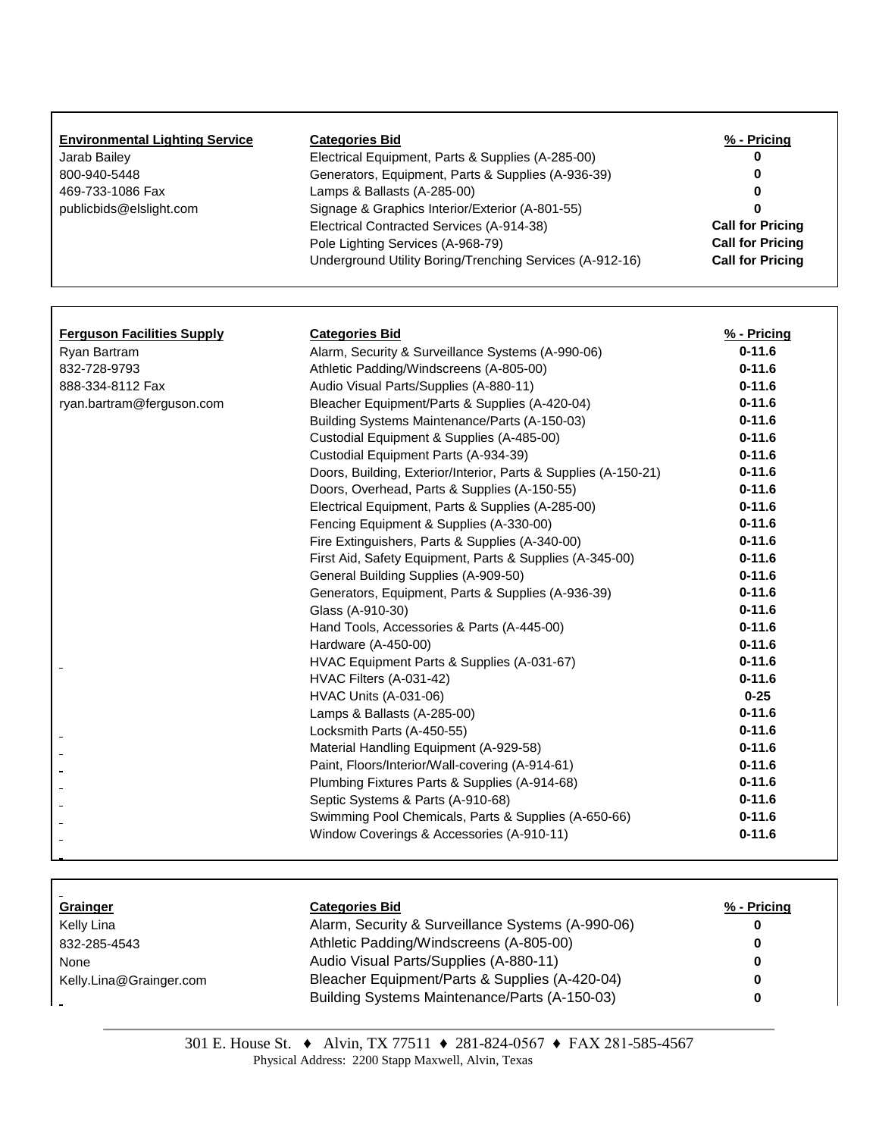| <b>Environmental Lighting Service</b> | <b>Categories Bid</b>                                    | % - Pricing             |
|---------------------------------------|----------------------------------------------------------|-------------------------|
| Jarab Bailey                          | Electrical Equipment, Parts & Supplies (A-285-00)        |                         |
| 800-940-5448                          | Generators, Equipment, Parts & Supplies (A-936-39)       |                         |
| 469-733-1086 Fax                      | Lamps & Ballasts (A-285-00)                              |                         |
| publicbids@elslight.com               | Signage & Graphics Interior/Exterior (A-801-55)          |                         |
|                                       | Electrical Contracted Services (A-914-38)                | <b>Call for Pricing</b> |
|                                       | Pole Lighting Services (A-968-79)                        | <b>Call for Pricing</b> |
|                                       | Underground Utility Boring/Trenching Services (A-912-16) | <b>Call for Pricing</b> |

Г

| <b>Ferguson Facilities Supply</b> | <b>Categories Bid</b>                                           | % - Pricing |
|-----------------------------------|-----------------------------------------------------------------|-------------|
| Ryan Bartram                      | Alarm, Security & Surveillance Systems (A-990-06)               | $0 - 11.6$  |
| 832-728-9793                      | Athletic Padding/Windscreens (A-805-00)                         | $0 - 11.6$  |
| 888-334-8112 Fax                  | Audio Visual Parts/Supplies (A-880-11)                          | $0 - 11.6$  |
| ryan.bartram@ferguson.com         | Bleacher Equipment/Parts & Supplies (A-420-04)                  | $0 - 11.6$  |
|                                   | Building Systems Maintenance/Parts (A-150-03)                   | $0 - 11.6$  |
|                                   | Custodial Equipment & Supplies (A-485-00)                       | $0 - 11.6$  |
|                                   | Custodial Equipment Parts (A-934-39)                            | $0 - 11.6$  |
|                                   | Doors, Building, Exterior/Interior, Parts & Supplies (A-150-21) | $0 - 11.6$  |
|                                   | Doors, Overhead, Parts & Supplies (A-150-55)                    | $0 - 11.6$  |
|                                   | Electrical Equipment, Parts & Supplies (A-285-00)               | $0 - 11.6$  |
|                                   | Fencing Equipment & Supplies (A-330-00)                         | $0 - 11.6$  |
|                                   | Fire Extinguishers, Parts & Supplies (A-340-00)                 | $0 - 11.6$  |
|                                   | First Aid, Safety Equipment, Parts & Supplies (A-345-00)        | $0 - 11.6$  |
|                                   | General Building Supplies (A-909-50)                            | $0 - 11.6$  |
|                                   | Generators, Equipment, Parts & Supplies (A-936-39)              | $0 - 11.6$  |
|                                   | Glass (A-910-30)                                                | $0 - 11.6$  |
|                                   | Hand Tools, Accessories & Parts (A-445-00)                      | $0 - 11.6$  |
|                                   | Hardware (A-450-00)                                             | $0 - 11.6$  |
|                                   | HVAC Equipment Parts & Supplies (A-031-67)                      | $0 - 11.6$  |
|                                   | HVAC Filters (A-031-42)                                         | $0 - 11.6$  |
|                                   | <b>HVAC Units (A-031-06)</b>                                    | $0 - 25$    |
|                                   | Lamps & Ballasts (A-285-00)                                     | $0 - 11.6$  |
|                                   | Locksmith Parts (A-450-55)                                      | $0 - 11.6$  |
|                                   | Material Handling Equipment (A-929-58)                          | $0 - 11.6$  |
|                                   | Paint, Floors/Interior/Wall-covering (A-914-61)                 | $0 - 11.6$  |
|                                   | Plumbing Fixtures Parts & Supplies (A-914-68)                   | $0 - 11.6$  |
|                                   | Septic Systems & Parts (A-910-68)                               | $0 - 11.6$  |
|                                   | Swimming Pool Chemicals, Parts & Supplies (A-650-66)            | $0 - 11.6$  |
|                                   | Window Coverings & Accessories (A-910-11)                       | $0 - 11.6$  |

| Grainger                | <b>Categories Bid</b>                             | % - Pricing |
|-------------------------|---------------------------------------------------|-------------|
| Kelly Lina              | Alarm, Security & Surveillance Systems (A-990-06) |             |
| 832-285-4543            | Athletic Padding/Windscreens (A-805-00)           |             |
| None                    | Audio Visual Parts/Supplies (A-880-11)            | U           |
| Kelly.Lina@Grainger.com | Bleacher Equipment/Parts & Supplies (A-420-04)    |             |
|                         | Building Systems Maintenance/Parts (A-150-03)     |             |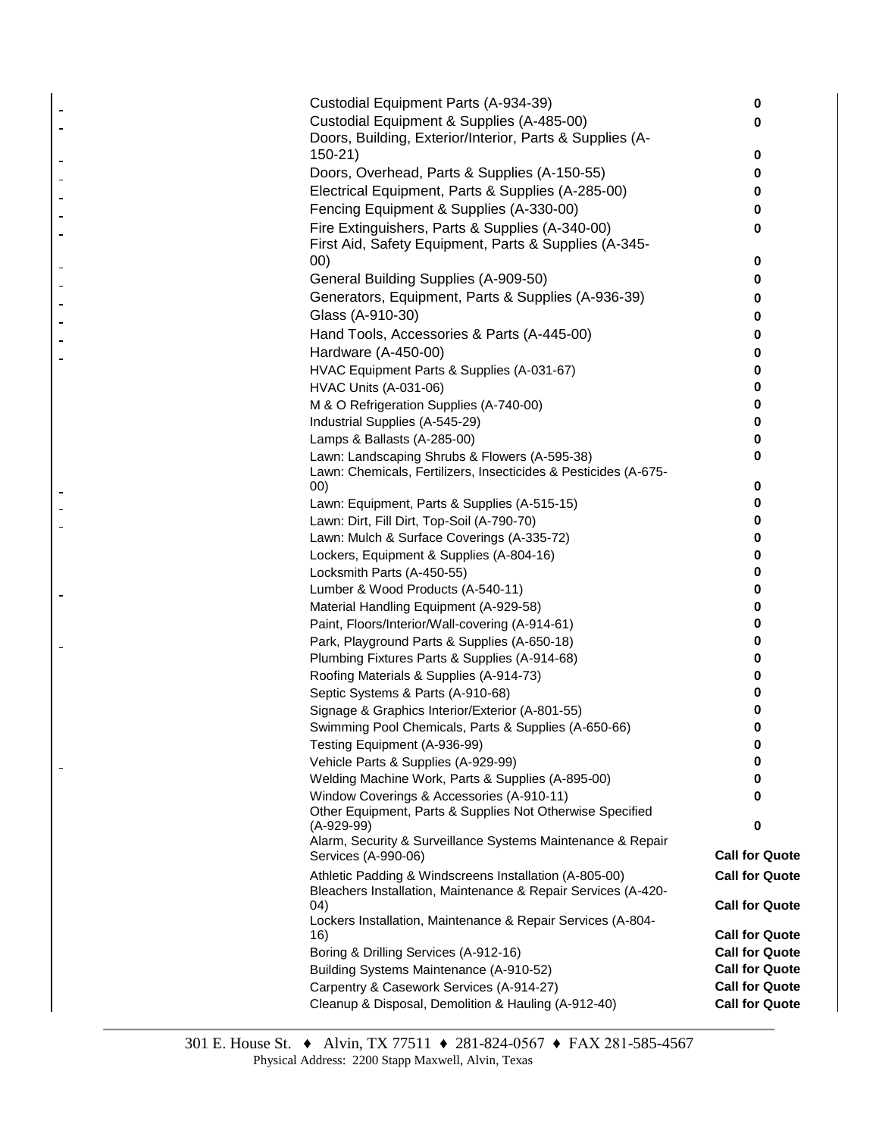| Custodial Equipment Parts (A-934-39)                                                 | 0                     |
|--------------------------------------------------------------------------------------|-----------------------|
| Custodial Equipment & Supplies (A-485-00)                                            | 0                     |
| Doors, Building, Exterior/Interior, Parts & Supplies (A-                             |                       |
| 150-21)                                                                              | 0                     |
| Doors, Overhead, Parts & Supplies (A-150-55)                                         | 0                     |
| Electrical Equipment, Parts & Supplies (A-285-00)                                    | 0                     |
| Fencing Equipment & Supplies (A-330-00)                                              | 0                     |
| Fire Extinguishers, Parts & Supplies (A-340-00)                                      | 0                     |
| First Aid, Safety Equipment, Parts & Supplies (A-345-                                |                       |
| (00)                                                                                 | 0                     |
| General Building Supplies (A-909-50)                                                 | 0                     |
| Generators, Equipment, Parts & Supplies (A-936-39)                                   | 0                     |
| Glass (A-910-30)                                                                     | 0                     |
| Hand Tools, Accessories & Parts (A-445-00)                                           | 0                     |
| Hardware (A-450-00)                                                                  | 0                     |
| HVAC Equipment Parts & Supplies (A-031-67)                                           | 0                     |
| <b>HVAC Units (A-031-06)</b>                                                         | 0                     |
| M & O Refrigeration Supplies (A-740-00)                                              | 0                     |
| Industrial Supplies (A-545-29)                                                       | 0                     |
| Lamps & Ballasts (A-285-00)                                                          | 0                     |
| Lawn: Landscaping Shrubs & Flowers (A-595-38)                                        | 0                     |
| Lawn: Chemicals, Fertilizers, Insecticides & Pesticides (A-675-                      |                       |
| 00)                                                                                  | 0                     |
| Lawn: Equipment, Parts & Supplies (A-515-15)                                         | 0                     |
| Lawn: Dirt, Fill Dirt, Top-Soil (A-790-70)                                           | 0                     |
| Lawn: Mulch & Surface Coverings (A-335-72)                                           | 0                     |
| Lockers, Equipment & Supplies (A-804-16)                                             | 0                     |
| Locksmith Parts (A-450-55)                                                           | 0                     |
| Lumber & Wood Products (A-540-11)                                                    | 0                     |
| Material Handling Equipment (A-929-58)                                               | 0                     |
| Paint, Floors/Interior/Wall-covering (A-914-61)                                      | 0                     |
| Park, Playground Parts & Supplies (A-650-18)                                         | 0                     |
| Plumbing Fixtures Parts & Supplies (A-914-68)                                        | 0                     |
| Roofing Materials & Supplies (A-914-73)                                              | 0                     |
| Septic Systems & Parts (A-910-68)<br>Signage & Graphics Interior/Exterior (A-801-55) | 0<br>0                |
| Swimming Pool Chemicals, Parts & Supplies (A-650-66)                                 | 0                     |
| Testing Equipment (A-936-99)                                                         | 0                     |
| Vehicle Parts & Supplies (A-929-99)                                                  | 0                     |
| Welding Machine Work, Parts & Supplies (A-895-00)                                    | 0                     |
| Window Coverings & Accessories (A-910-11)                                            | 0                     |
| Other Equipment, Parts & Supplies Not Otherwise Specified                            |                       |
| $(A-929-99)$                                                                         | 0                     |
| Alarm, Security & Surveillance Systems Maintenance & Repair                          |                       |
| Services (A-990-06)                                                                  | <b>Call for Quote</b> |
| Athletic Padding & Windscreens Installation (A-805-00)                               | <b>Call for Quote</b> |
| Bleachers Installation, Maintenance & Repair Services (A-420-<br>04)                 | <b>Call for Quote</b> |
| Lockers Installation, Maintenance & Repair Services (A-804-                          |                       |
| 16)                                                                                  | <b>Call for Quote</b> |
| Boring & Drilling Services (A-912-16)                                                | <b>Call for Quote</b> |
| Building Systems Maintenance (A-910-52)                                              | <b>Call for Quote</b> |
| Carpentry & Casework Services (A-914-27)                                             | <b>Call for Quote</b> |
| Cleanup & Disposal, Demolition & Hauling (A-912-40)                                  | <b>Call for Quote</b> |
|                                                                                      |                       |

 $\blacksquare$  $\overline{a}$ 

 $\overline{a}$  $\overline{a}$  $\blacksquare$  $\overline{a}$  $\blacksquare$ 

 $\blacksquare$  $\blacksquare$  $\blacksquare$  $\blacksquare$  $\blacksquare$ L.

 $\equiv$  $\overline{a}$  $\overline{a}$ 

 $\blacksquare$ 

 $\blacksquare$ 

 $\blacksquare$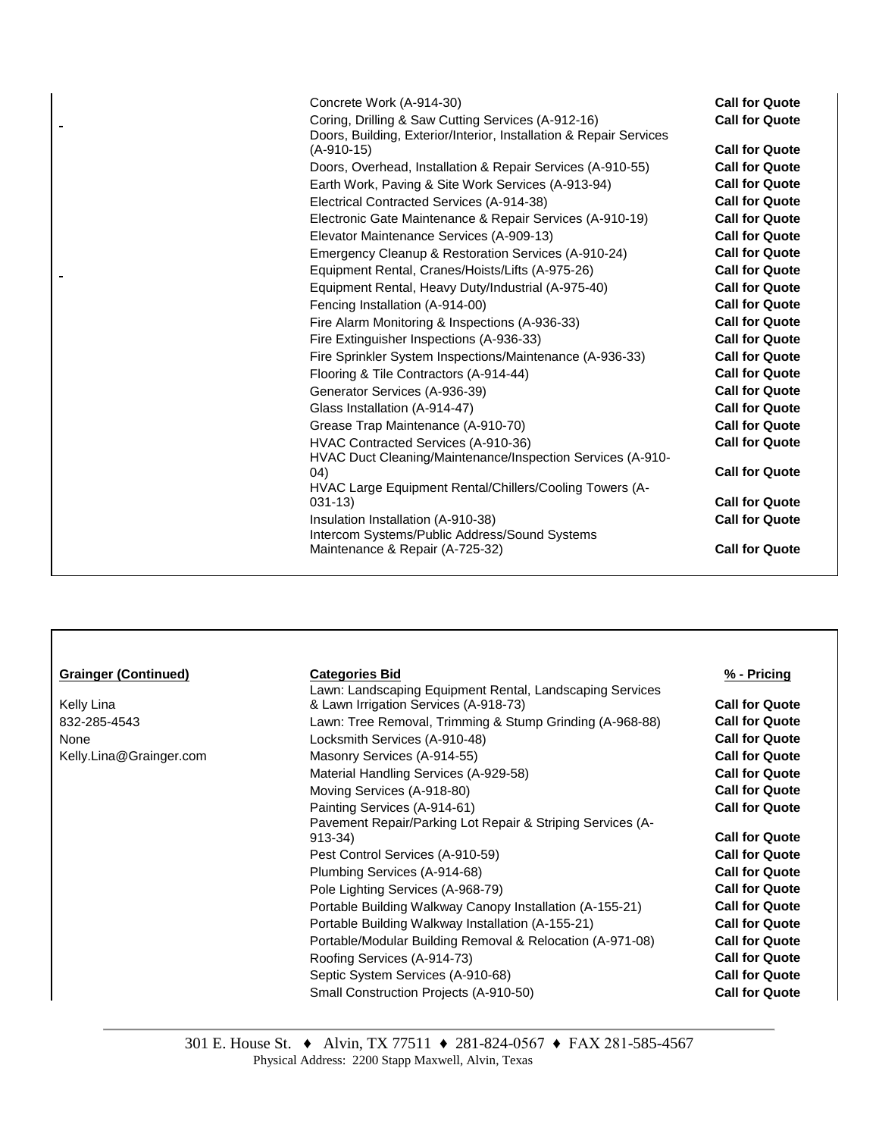| Concrete Work (A-914-30)                                                         | <b>Call for Quote</b> |
|----------------------------------------------------------------------------------|-----------------------|
| Coring, Drilling & Saw Cutting Services (A-912-16)                               | <b>Call for Quote</b> |
| Doors, Building, Exterior/Interior, Installation & Repair Services               |                       |
| (A-910-15)                                                                       | <b>Call for Quote</b> |
| Doors, Overhead, Installation & Repair Services (A-910-55)                       | <b>Call for Quote</b> |
| Earth Work, Paving & Site Work Services (A-913-94)                               | <b>Call for Quote</b> |
| Electrical Contracted Services (A-914-38)                                        | <b>Call for Quote</b> |
| Electronic Gate Maintenance & Repair Services (A-910-19)                         | <b>Call for Quote</b> |
| Elevator Maintenance Services (A-909-13)                                         | <b>Call for Quote</b> |
| Emergency Cleanup & Restoration Services (A-910-24)                              | <b>Call for Quote</b> |
| Equipment Rental, Cranes/Hoists/Lifts (A-975-26)                                 | <b>Call for Quote</b> |
| Equipment Rental, Heavy Duty/Industrial (A-975-40)                               | <b>Call for Quote</b> |
| Fencing Installation (A-914-00)                                                  | <b>Call for Quote</b> |
| Fire Alarm Monitoring & Inspections (A-936-33)                                   | <b>Call for Quote</b> |
| Fire Extinguisher Inspections (A-936-33)                                         | <b>Call for Quote</b> |
| Fire Sprinkler System Inspections/Maintenance (A-936-33)                         | <b>Call for Quote</b> |
| Flooring & Tile Contractors (A-914-44)                                           | <b>Call for Quote</b> |
| Generator Services (A-936-39)                                                    | <b>Call for Quote</b> |
| Glass Installation (A-914-47)                                                    | <b>Call for Quote</b> |
| Grease Trap Maintenance (A-910-70)                                               | <b>Call for Quote</b> |
| HVAC Contracted Services (A-910-36)                                              | <b>Call for Quote</b> |
| HVAC Duct Cleaning/Maintenance/Inspection Services (A-910-                       |                       |
| (04)                                                                             | <b>Call for Quote</b> |
| HVAC Large Equipment Rental/Chillers/Cooling Towers (A-                          |                       |
| $031 - 13$                                                                       | <b>Call for Quote</b> |
| Insulation Installation (A-910-38)                                               | <b>Call for Quote</b> |
| Intercom Systems/Public Address/Sound Systems<br>Maintenance & Repair (A-725-32) | <b>Call for Quote</b> |
|                                                                                  |                       |

| <b>Grainger (Continued)</b> | <b>Categories Bid</b>                                      | % - Pricing           |
|-----------------------------|------------------------------------------------------------|-----------------------|
|                             | Lawn: Landscaping Equipment Rental, Landscaping Services   |                       |
| Kelly Lina                  | & Lawn Irrigation Services (A-918-73)                      | <b>Call for Quote</b> |
| 832-285-4543                | Lawn: Tree Removal, Trimming & Stump Grinding (A-968-88)   | <b>Call for Quote</b> |
| None                        | Locksmith Services (A-910-48)                              | <b>Call for Quote</b> |
| Kelly.Lina@Grainger.com     | Masonry Services (A-914-55)                                | <b>Call for Quote</b> |
|                             | Material Handling Services (A-929-58)                      | <b>Call for Quote</b> |
|                             | Moving Services (A-918-80)                                 | <b>Call for Quote</b> |
|                             | Painting Services (A-914-61)                               | <b>Call for Quote</b> |
|                             | Pavement Repair/Parking Lot Repair & Striping Services (A- |                       |
|                             | $913 - 34$                                                 | <b>Call for Quote</b> |
|                             | Pest Control Services (A-910-59)                           | <b>Call for Quote</b> |
|                             | Plumbing Services (A-914-68)                               | <b>Call for Quote</b> |
|                             | Pole Lighting Services (A-968-79)                          | <b>Call for Quote</b> |
|                             | Portable Building Walkway Canopy Installation (A-155-21)   | <b>Call for Quote</b> |
|                             | Portable Building Walkway Installation (A-155-21)          | <b>Call for Quote</b> |
|                             | Portable/Modular Building Removal & Relocation (A-971-08)  | <b>Call for Quote</b> |
|                             | Roofing Services (A-914-73)                                | <b>Call for Quote</b> |
|                             | Septic System Services (A-910-68)                          | <b>Call for Quote</b> |
|                             | Small Construction Projects (A-910-50)                     | <b>Call for Quote</b> |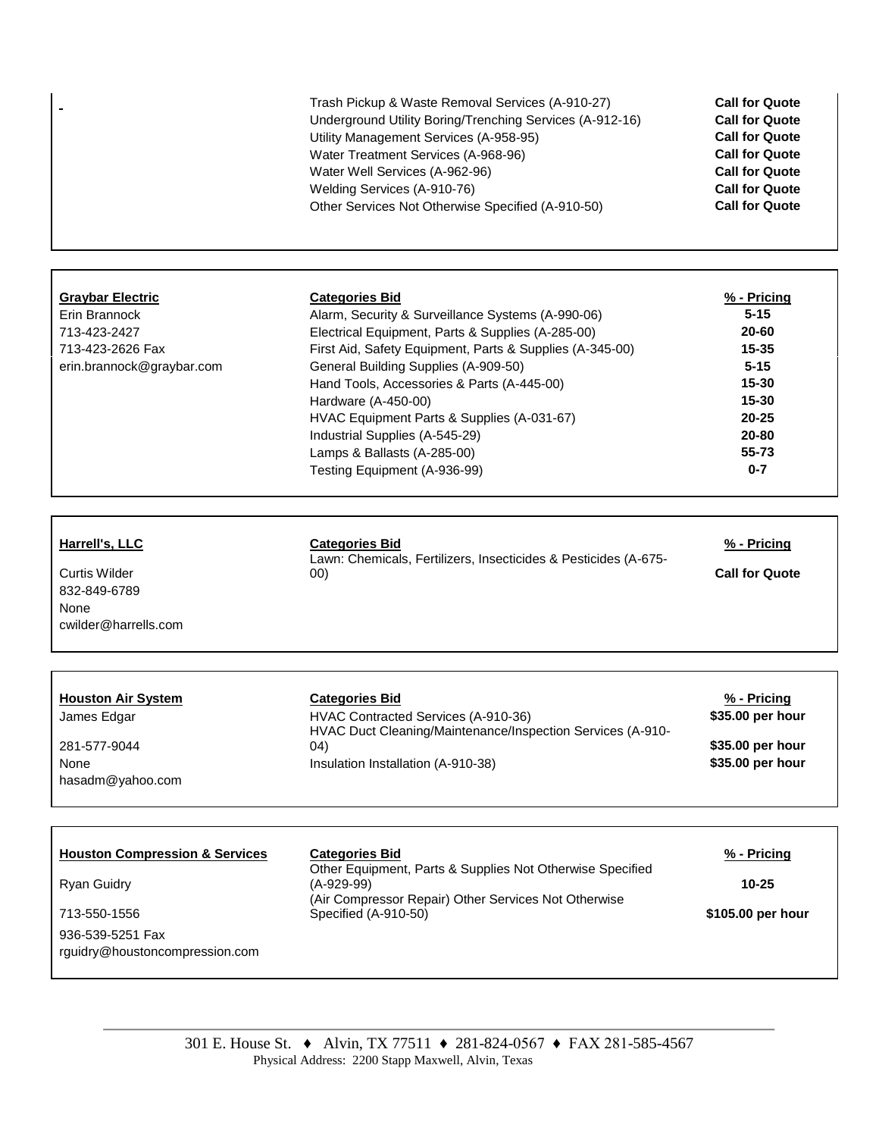|                                                                                                                                       | Trash Pickup & Waste Removal Services (A-910-27)<br>Underground Utility Boring/Trenching Services (A-912-16)<br>Utility Management Services (A-958-95)<br>Water Treatment Services (A-968-96)<br>Water Well Services (A-962-96)<br>Welding Services (A-910-76)<br>Other Services Not Otherwise Specified (A-910-50)                                                                                                                                     | <b>Call for Quote</b><br><b>Call for Quote</b><br><b>Call for Quote</b><br><b>Call for Quote</b><br><b>Call for Quote</b><br><b>Call for Quote</b><br><b>Call for Quote</b> |
|---------------------------------------------------------------------------------------------------------------------------------------|---------------------------------------------------------------------------------------------------------------------------------------------------------------------------------------------------------------------------------------------------------------------------------------------------------------------------------------------------------------------------------------------------------------------------------------------------------|-----------------------------------------------------------------------------------------------------------------------------------------------------------------------------|
|                                                                                                                                       |                                                                                                                                                                                                                                                                                                                                                                                                                                                         |                                                                                                                                                                             |
| <b>Graybar Electric</b><br>Erin Brannock<br>713-423-2427<br>713-423-2626 Fax<br>erin.brannock@graybar.com                             | <b>Categories Bid</b><br>Alarm, Security & Surveillance Systems (A-990-06)<br>Electrical Equipment, Parts & Supplies (A-285-00)<br>First Aid, Safety Equipment, Parts & Supplies (A-345-00)<br>General Building Supplies (A-909-50)<br>Hand Tools, Accessories & Parts (A-445-00)<br>Hardware (A-450-00)<br>HVAC Equipment Parts & Supplies (A-031-67)<br>Industrial Supplies (A-545-29)<br>Lamps & Ballasts (A-285-00)<br>Testing Equipment (A-936-99) | <u>% - Pricing</u><br>$5 - 15$<br>20-60<br>$15 - 35$<br>$5 - 15$<br>15-30<br>15-30<br>20-25<br>20-80<br>55-73<br>$0 - 7$                                                    |
| Harrell's, LLC<br><b>Curtis Wilder</b><br>832-849-6789<br>None<br>cwilder@harrells.com                                                | <b>Categories Bid</b><br>Lawn: Chemicals, Fertilizers, Insecticides & Pesticides (A-675-<br>00)                                                                                                                                                                                                                                                                                                                                                         | % - Pricing<br><b>Call for Quote</b>                                                                                                                                        |
|                                                                                                                                       |                                                                                                                                                                                                                                                                                                                                                                                                                                                         |                                                                                                                                                                             |
| <b>Houston Air System</b><br>James Edgar<br>281-577-9044<br>None<br>hasadm@yahoo.com                                                  | <b>Categories Bid</b><br>HVAC Contracted Services (A-910-36)<br>HVAC Duct Cleaning/Maintenance/Inspection Services (A-910-<br>04)<br>Insulation Installation (A-910-38)                                                                                                                                                                                                                                                                                 | % - Pricing<br>\$35.00 per hour<br>\$35.00 per hour<br>\$35.00 per hour                                                                                                     |
|                                                                                                                                       |                                                                                                                                                                                                                                                                                                                                                                                                                                                         |                                                                                                                                                                             |
| <b>Houston Compression &amp; Services</b><br><b>Ryan Guidry</b><br>713-550-1556<br>936-539-5251 Fax<br>rguidry@houstoncompression.com | <b>Categories Bid</b><br>Other Equipment, Parts & Supplies Not Otherwise Specified<br>$(A-929-99)$<br>(Air Compressor Repair) Other Services Not Otherwise<br>Specified (A-910-50)                                                                                                                                                                                                                                                                      | % - Pricing<br>$10 - 25$<br>\$105.00 per hour                                                                                                                               |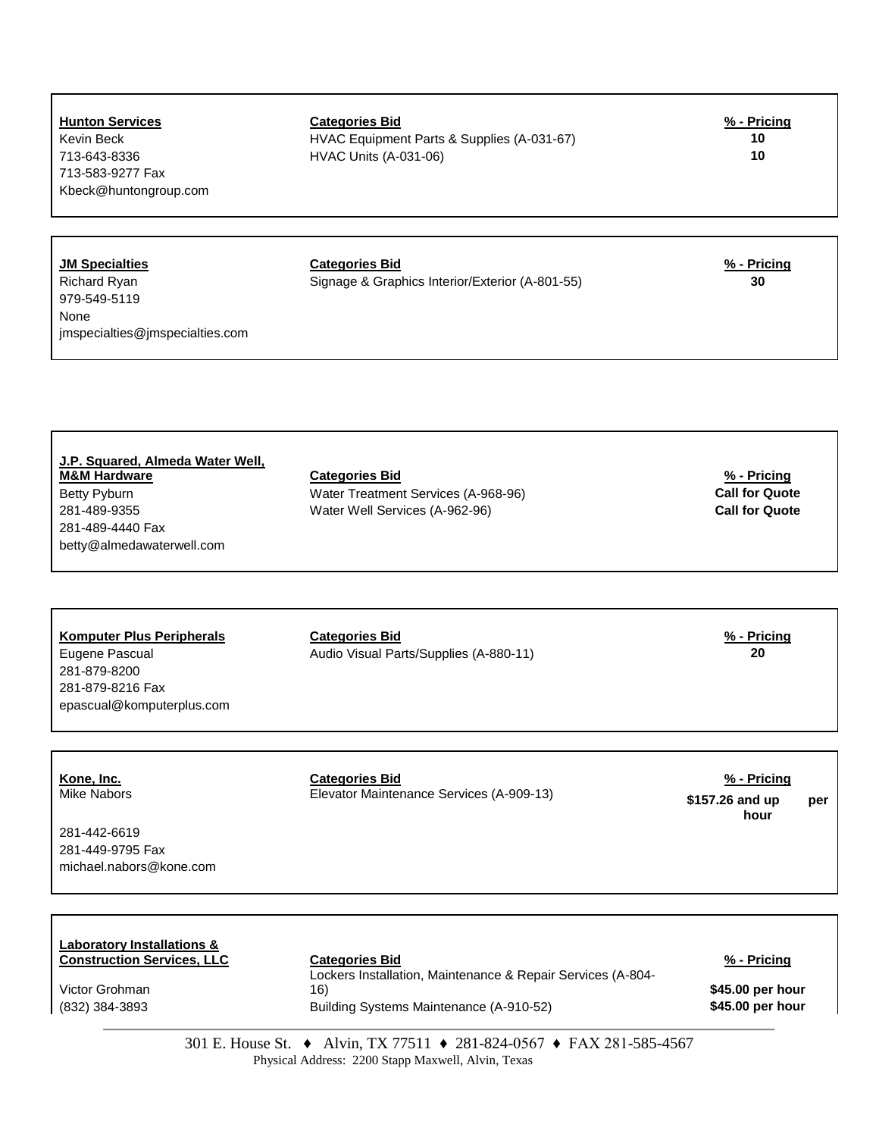| <b>Hunton Services</b><br>Kevin Beck<br>713-643-8336<br>713-583-9277 Fax<br>Kbeck@huntongroup.com               | <b>Categories Bid</b><br>HVAC Equipment Parts & Supplies (A-031-67)<br><b>HVAC Units (A-031-06)</b>                                    | $% - Pricing$<br>10<br>10                                     |
|-----------------------------------------------------------------------------------------------------------------|----------------------------------------------------------------------------------------------------------------------------------------|---------------------------------------------------------------|
| <b>JM Specialties</b><br>Richard Ryan<br>979-549-5119<br>None<br>jmspecialties@jmspecialties.com                | <b>Categories Bid</b><br>Signage & Graphics Interior/Exterior (A-801-55)                                                               | $% - Pricing$<br>30                                           |
| J.P. Squared, Almeda Water Well,<br><b>M&amp;M Hardware</b><br>Betty Pyburn<br>281-489-9355<br>281-489-4440 Fax | <b>Categories Bid</b><br>Water Treatment Services (A-968-96)<br>Water Well Services (A-962-96)                                         | % - Pricing<br><b>Call for Quote</b><br><b>Call for Quote</b> |
| betty@almedawaterwell.com<br><b>Komputer Plus Peripherals</b><br>Eugene Pascual<br>281-879-8200                 | <b>Categories Bid</b><br>Audio Visual Parts/Supplies (A-880-11)                                                                        | $% - Pricing$<br>20                                           |
| 281-879-8216 Fax<br>epascual@komputerplus.com<br>Kone, Inc.<br><b>Mike Nabors</b>                               | <b>Categories Bid</b><br>Elevator Maintenance Services (A-909-13)                                                                      | $% - Pricing$<br>\$157.26 and up<br>per                       |
| 281-442-6619<br>281-449-9795 Fax<br>michael.nabors@kone.com                                                     |                                                                                                                                        | hour                                                          |
| <b>Laboratory Installations &amp;</b><br><b>Construction Services, LLC</b><br>Victor Grohman<br>(832) 384-3893  | <b>Categories Bid</b><br>Lockers Installation, Maintenance & Repair Services (A-804-<br>16)<br>Building Systems Maintenance (A-910-52) | $% - Pricing$<br>\$45.00 per hour<br>\$45.00 per hour         |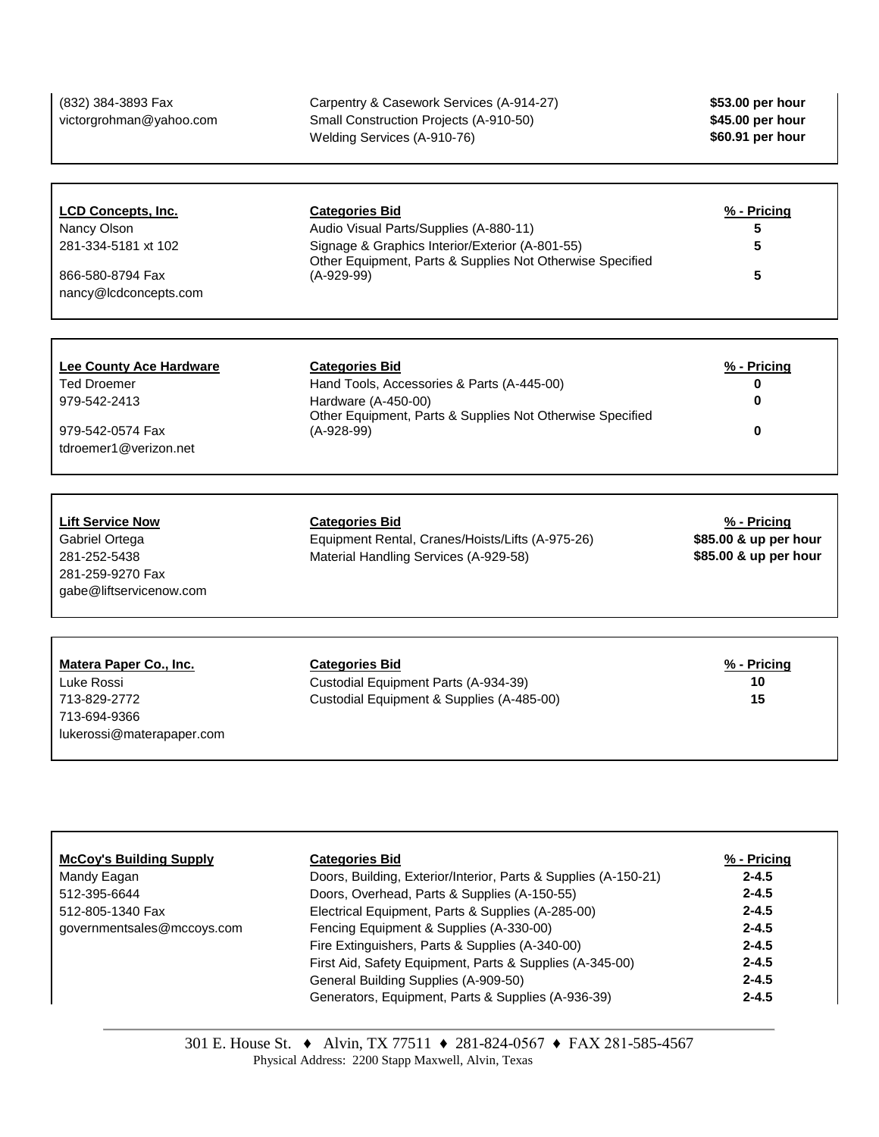| (832) 384-3893 Fax<br>victorgrohman@yahoo.com                                                                | Carpentry & Casework Services (A-914-27)<br>Small Construction Projects (A-910-50)<br>Welding Services (A-910-76)                                                                               | \$53.00 per hour<br>\$45.00 per hour<br>\$60.91 per hour      |
|--------------------------------------------------------------------------------------------------------------|-------------------------------------------------------------------------------------------------------------------------------------------------------------------------------------------------|---------------------------------------------------------------|
| <b>LCD Concepts, Inc.</b><br>Nancy Olson<br>281-334-5181 xt 102<br>866-580-8794 Fax<br>nancy@lcdconcepts.com | <b>Categories Bid</b><br>Audio Visual Parts/Supplies (A-880-11)<br>Signage & Graphics Interior/Exterior (A-801-55)<br>Other Equipment, Parts & Supplies Not Otherwise Specified<br>$(A-929-99)$ | % - Pricing<br>5<br>5<br>5                                    |
| <b>Lee County Ace Hardware</b><br>Ted Droemer<br>979-542-2413<br>979-542-0574 Fax<br>tdroemer1@verizon.net   | <b>Categories Bid</b><br>Hand Tools, Accessories & Parts (A-445-00)<br>Hardware (A-450-00)<br>Other Equipment, Parts & Supplies Not Otherwise Specified<br>$(A-928-99)$                         | % - Pricing<br>0<br>0<br>0                                    |
| <b>Lift Service Now</b><br>Gabriel Ortega<br>281-252-5438<br>281-259-9270 Fax<br>gabe@liftservicenow.com     | <b>Categories Bid</b><br>Equipment Rental, Cranes/Hoists/Lifts (A-975-26)<br>Material Handling Services (A-929-58)                                                                              | % - Pricing<br>\$85.00 & up per hour<br>\$85.00 & up per hour |
| Matera Paper Co., Inc.<br>Luke Rossi<br>713-829-2772<br>713-694-9366<br>lukerossi@materapaper.com            | <b>Categories Bid</b><br>Custodial Equipment Parts (A-934-39)<br>Custodial Equipment & Supplies (A-485-00)                                                                                      | % - Pricing<br>10<br>15                                       |

| <b>McCoy's Building Supply</b> | <b>Categories Bid</b>                                           | % - Pricing |
|--------------------------------|-----------------------------------------------------------------|-------------|
| Mandy Eagan                    | Doors, Building, Exterior/Interior, Parts & Supplies (A-150-21) | $2 - 4.5$   |
| 512-395-6644                   | Doors, Overhead, Parts & Supplies (A-150-55)                    | $2 - 4.5$   |
| 512-805-1340 Fax               | Electrical Equipment, Parts & Supplies (A-285-00)               | $2 - 4.5$   |
| governmentsales@mccoys.com     | Fencing Equipment & Supplies (A-330-00)                         | $2 - 4.5$   |
|                                | Fire Extinguishers, Parts & Supplies (A-340-00)                 | $2 - 4.5$   |
|                                | First Aid, Safety Equipment, Parts & Supplies (A-345-00)        | $2 - 4.5$   |
|                                | General Building Supplies (A-909-50)                            | $2 - 4.5$   |
|                                | Generators, Equipment, Parts & Supplies (A-936-39)              | $2 - 4.5$   |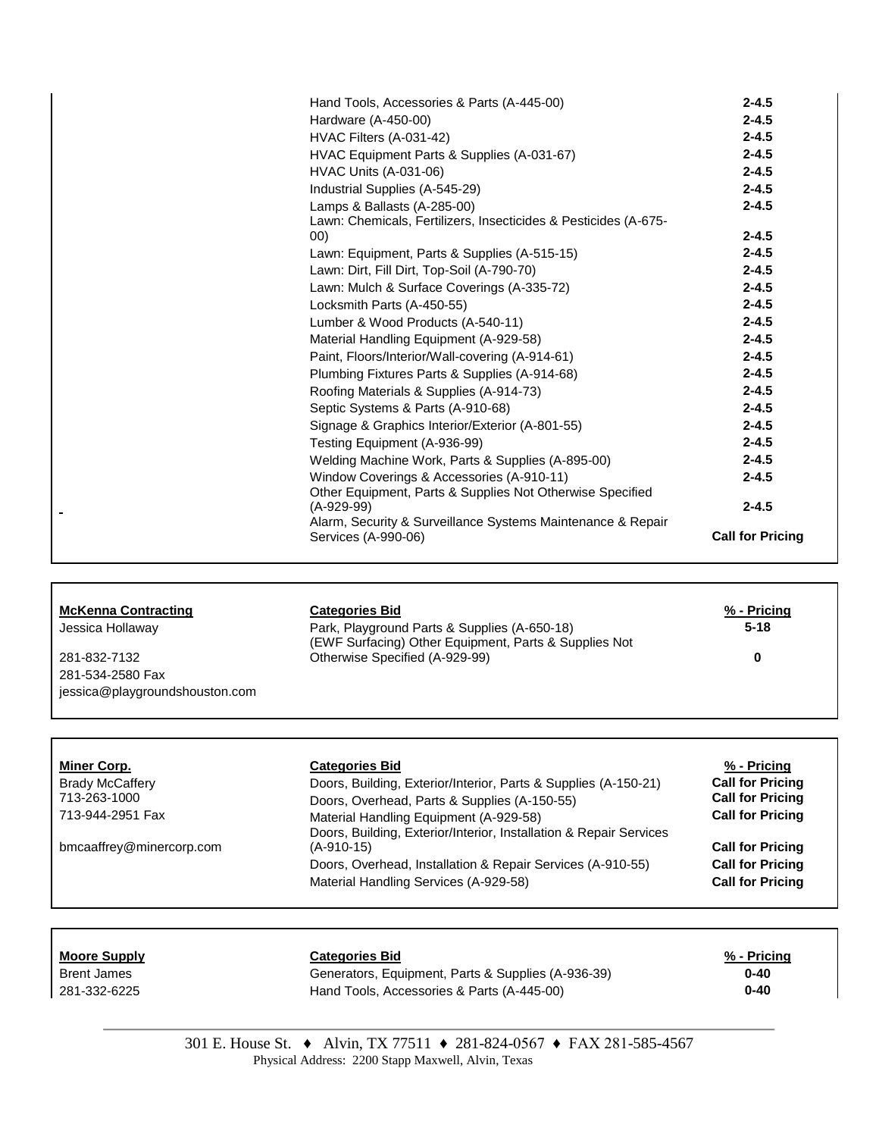|                              | Hand Tools, Accessories & Parts (A-445-00)                      | $2 - 4.5$               |
|------------------------------|-----------------------------------------------------------------|-------------------------|
| Hardware (A-450-00)          |                                                                 | $2 - 4.5$               |
| HVAC Filters (A-031-42)      |                                                                 | $2 - 4.5$               |
|                              | HVAC Equipment Parts & Supplies (A-031-67)                      | $2 - 4.5$               |
| <b>HVAC Units (A-031-06)</b> |                                                                 | $2 - 4.5$               |
|                              | Industrial Supplies (A-545-29)                                  | $2 - 4.5$               |
|                              | Lamps & Ballasts (A-285-00)                                     | $2 - 4.5$               |
| 00)                          | Lawn: Chemicals, Fertilizers, Insecticides & Pesticides (A-675- | $2 - 4.5$               |
|                              | Lawn: Equipment, Parts & Supplies (A-515-15)                    | $2 - 4.5$               |
|                              | Lawn: Dirt, Fill Dirt, Top-Soil (A-790-70)                      | $2 - 4.5$               |
|                              | Lawn: Mulch & Surface Coverings (A-335-72)                      | $2 - 4.5$               |
| Locksmith Parts (A-450-55)   |                                                                 | $2 - 4.5$               |
|                              | Lumber & Wood Products (A-540-11)                               | $2 - 4.5$               |
|                              | Material Handling Equipment (A-929-58)                          | $2 - 4.5$               |
|                              | Paint, Floors/Interior/Wall-covering (A-914-61)                 | $2 - 4.5$               |
|                              | Plumbing Fixtures Parts & Supplies (A-914-68)                   | $2 - 4.5$               |
|                              | Roofing Materials & Supplies (A-914-73)                         | $2 - 4.5$               |
|                              | Septic Systems & Parts (A-910-68)                               | $2 - 4.5$               |
|                              | Signage & Graphics Interior/Exterior (A-801-55)                 | $2 - 4.5$               |
|                              | Testing Equipment (A-936-99)                                    | $2 - 4.5$               |
|                              | Welding Machine Work, Parts & Supplies (A-895-00)               | $2 - 4.5$               |
|                              | Window Coverings & Accessories (A-910-11)                       | $2 - 4.5$               |
| $(A-929-99)$                 | Other Equipment, Parts & Supplies Not Otherwise Specified       | $2 - 4.5$               |
| Services (A-990-06)          | Alarm, Security & Surveillance Systems Maintenance & Repair     | <b>Call for Pricing</b> |
|                              |                                                                 |                         |

| <b>McKenna Contracting</b>     | <b>Categories Bid</b>                                 | % - Pricing |
|--------------------------------|-------------------------------------------------------|-------------|
| Jessica Hollaway               | Park, Playground Parts & Supplies (A-650-18)          | $5 - 18$    |
|                                | (EWF Surfacing) Other Equipment, Parts & Supplies Not |             |
| 281-832-7132                   | Otherwise Specified (A-929-99)                        | 0           |
| 281-534-2580 Fax               |                                                       |             |
| jessica@playgroundshouston.com |                                                       |             |

 $\overline{a}$ 

| <b>Call for Pricing</b><br>Doors, Building, Exterior/Interior, Parts & Supplies (A-150-21) |
|--------------------------------------------------------------------------------------------|
|                                                                                            |
| <b>Call for Pricing</b><br>Doors, Overhead, Parts & Supplies (A-150-55)                    |
| <b>Call for Pricing</b>                                                                    |
| Doors, Building, Exterior/Interior, Installation & Repair Services                         |
| <b>Call for Pricing</b>                                                                    |
| <b>Call for Pricing</b><br>Doors, Overhead, Installation & Repair Services (A-910-55)      |
| <b>Call for Pricing</b>                                                                    |
|                                                                                            |

٦

| <b>Moore Supply</b> | <b>Categories Bid</b>                              | % - Pricing |
|---------------------|----------------------------------------------------|-------------|
| <b>Brent James</b>  | Generators, Equipment, Parts & Supplies (A-936-39) | $0 - 40$    |
| 281-332-6225        | Hand Tools, Accessories & Parts (A-445-00)         | $0 - 40$    |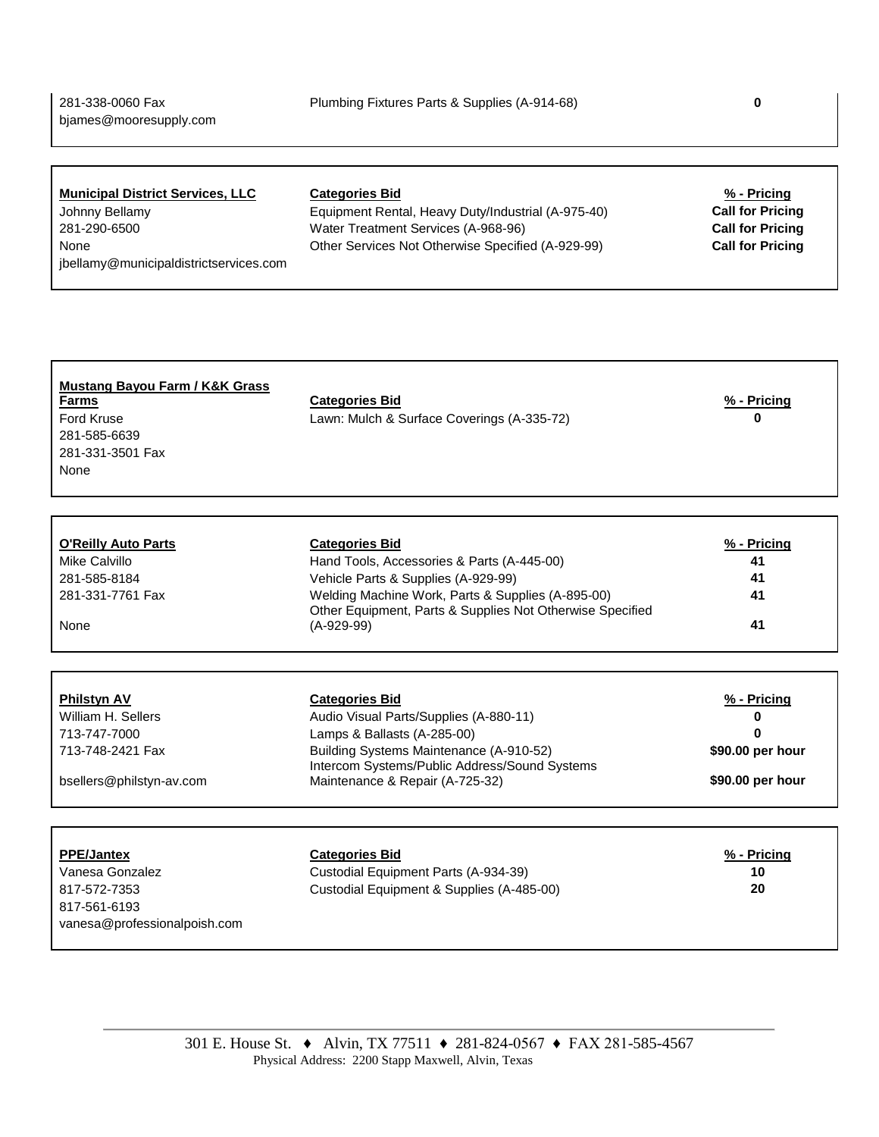# **Municipal District Services, LLC Categories Bid % - Pricing**

[jbellamy@municipaldistrictservices.com](mailto:jbellamy@municipaldistrictservices.com)

Johnny Bellamy Equipment Rental, Heavy Duty/Industrial (A-975-40) **Call for Pricing** 281-290-6500 Water Treatment Services (A-968-96) **Call for Pricing** None Other Services Not Otherwise Specified (A-929-99) **Call for Pricing**

| <b>Mustang Bayou Farm / K&amp;K Grass</b><br><b>Farms</b><br><b>Ford Kruse</b> | <b>Categories Bid</b><br>Lawn: Mulch & Surface Coverings (A-335-72)                      | $% - Pricing$<br>U |
|--------------------------------------------------------------------------------|------------------------------------------------------------------------------------------|--------------------|
| 281-585-6639                                                                   |                                                                                          |                    |
| 281-331-3501 Fax                                                               |                                                                                          |                    |
| None                                                                           |                                                                                          |                    |
|                                                                                |                                                                                          |                    |
| <b>O'Reilly Auto Parts</b>                                                     | <b>Categories Bid</b>                                                                    | % - Pricing        |
| Mike Calvillo                                                                  | Hand Tools, Accessories & Parts (A-445-00)                                               | 41                 |
| 281-585-8184                                                                   | Vehicle Parts & Supplies (A-929-99)                                                      | 41                 |
| 281-331-7761 Fax                                                               | Welding Machine Work, Parts & Supplies (A-895-00)                                        | 41                 |
|                                                                                | Other Equipment, Parts & Supplies Not Otherwise Specified                                |                    |
| None                                                                           | $(A-929-99)$                                                                             | 41                 |
|                                                                                |                                                                                          |                    |
| <b>Philstyn AV</b>                                                             | <b>Categories Bid</b>                                                                    | $% - Pricing$      |
| William H. Sellers                                                             | Audio Visual Parts/Supplies (A-880-11)                                                   | 0                  |
| 713-747-7000                                                                   | Lamps & Ballasts (A-285-00)                                                              | n                  |
| 713-748-2421 Fax                                                               | Building Systems Maintenance (A-910-52)<br>Intercom Systems/Public Address/Sound Systems | \$90.00 per hour   |
| bsellers@philstyn-av.com                                                       | Maintenance & Repair (A-725-32)                                                          | \$90.00 per hour   |
|                                                                                |                                                                                          |                    |
| <b>PPE/Jantex</b>                                                              | <b>Categories Bid</b>                                                                    | $% - Pricing$      |
| Vanesa Gonzalez                                                                | Custodial Equipment Parts (A-934-39)                                                     | 10                 |
| 817-572-7353                                                                   | Custodial Equipment & Supplies (A-485-00)                                                | 20                 |
| 817-561-6193                                                                   |                                                                                          |                    |
| vanesa@professionalpoish.com                                                   |                                                                                          |                    |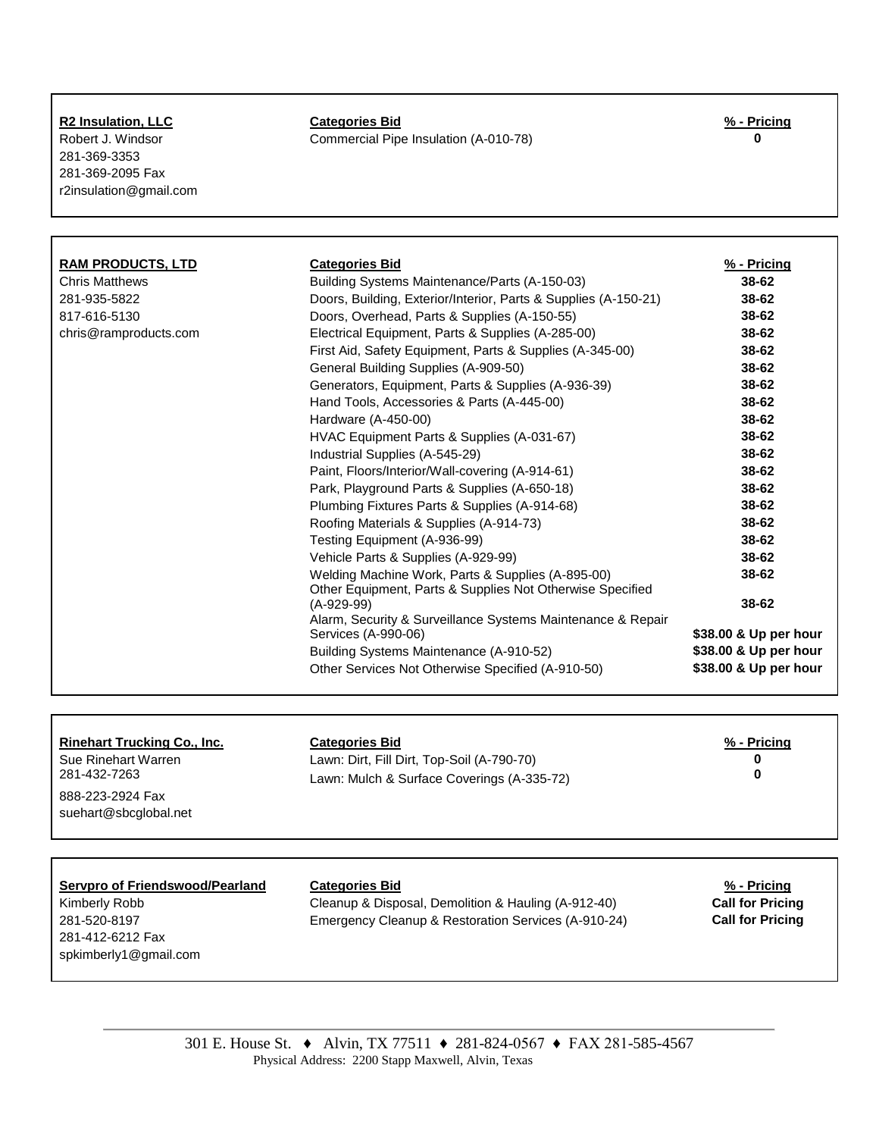| <b>R2 Insulation, LLC</b> |  |
|---------------------------|--|
|                           |  |

281-369-3353 281-369-2095 Fax r2insulation@gmail.com

# **R2 Insulation, LLC Categories Bid % - Pricing**

Robert J. Windsor Commercial Pipe Insulation (A-010-78) **0**

| <b>RAM PRODUCTS, LTD</b> | <b>Categories Bid</b>                                                                                          | % - Pricing           |
|--------------------------|----------------------------------------------------------------------------------------------------------------|-----------------------|
| <b>Chris Matthews</b>    | Building Systems Maintenance/Parts (A-150-03)                                                                  | 38-62                 |
| 281-935-5822             | Doors, Building, Exterior/Interior, Parts & Supplies (A-150-21)                                                | 38-62                 |
| 817-616-5130             | Doors, Overhead, Parts & Supplies (A-150-55)                                                                   | 38-62                 |
| chris@ramproducts.com    | Electrical Equipment, Parts & Supplies (A-285-00)                                                              | 38-62                 |
|                          | First Aid, Safety Equipment, Parts & Supplies (A-345-00)                                                       | 38-62                 |
|                          | General Building Supplies (A-909-50)                                                                           | 38-62                 |
|                          | Generators, Equipment, Parts & Supplies (A-936-39)                                                             | 38-62                 |
|                          | Hand Tools, Accessories & Parts (A-445-00)                                                                     | 38-62                 |
|                          | Hardware (A-450-00)                                                                                            | 38-62                 |
|                          | HVAC Equipment Parts & Supplies (A-031-67)                                                                     | 38-62                 |
|                          | Industrial Supplies (A-545-29)                                                                                 | 38-62                 |
|                          | Paint, Floors/Interior/Wall-covering (A-914-61)                                                                | 38-62                 |
|                          | Park, Playground Parts & Supplies (A-650-18)                                                                   | 38-62                 |
|                          | Plumbing Fixtures Parts & Supplies (A-914-68)                                                                  | 38-62                 |
|                          | Roofing Materials & Supplies (A-914-73)                                                                        | 38-62                 |
|                          | Testing Equipment (A-936-99)                                                                                   | 38-62                 |
|                          | Vehicle Parts & Supplies (A-929-99)                                                                            | 38-62                 |
|                          | Welding Machine Work, Parts & Supplies (A-895-00)<br>Other Equipment, Parts & Supplies Not Otherwise Specified | 38-62                 |
|                          | $(A-929-99)$                                                                                                   | 38-62                 |
|                          | Alarm, Security & Surveillance Systems Maintenance & Repair<br>Services (A-990-06)                             | \$38.00 & Up per hour |
|                          | Building Systems Maintenance (A-910-52)                                                                        | \$38.00 & Up per hour |
|                          | Other Services Not Otherwise Specified (A-910-50)                                                              | \$38.00 & Up per hour |

### **Rinehart Trucking Co., Inc. Categories Bid % - Pricing**

888-223-2924 Fax [suehart@sbcglobal.net](mailto:suehart@sbcglobal.net)

| <b>Categories Bid</b> |
|-----------------------|
|-----------------------|

Sue Rinehart Warren **18. Elects Lawn: Dirt, Fill Dirt, Top-Soil** (A-790-70) **0**<br>281-432-7263 **0 1.12000** Lawn: Mulch & Surface Coverings (A-335-72) **0 0** Lawn: Mulch & Surface Coverings (A-335-72)

# **Servpro of Friendswood/Pearland Categories Bid % - Pricing**

281-412-6212 Fax spkimberly1@gmail.com

Kimberly Robb Cleanup & Disposal, Demolition & Hauling (A-912-40) **Call for Pricing** 281-520-8197 Emergency Cleanup & Restoration Services (A-910-24) **Call for Pricing**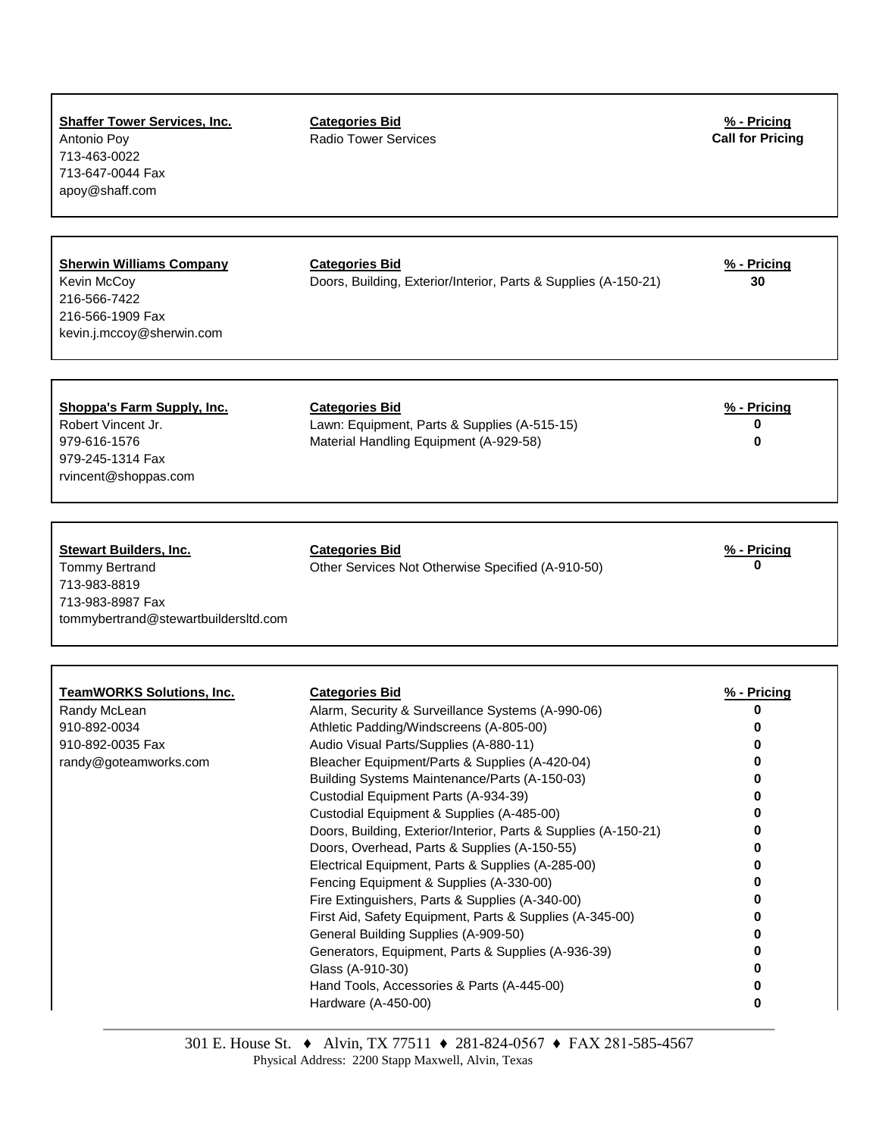| <b>Shaffer Tower Services, Inc.</b><br>Antonio Poy<br>713-463-0022<br>713-647-0044 Fax<br>apoy@shaff.com                           | <b>Categories Bid</b><br><b>Radio Tower Services</b>                                                            | % - Pricing<br><b>Call for Pricing</b> |
|------------------------------------------------------------------------------------------------------------------------------------|-----------------------------------------------------------------------------------------------------------------|----------------------------------------|
| <b>Sherwin Williams Company</b>                                                                                                    | <b>Categories Bid</b>                                                                                           | $% - Pricing$                          |
| Kevin McCoy<br>216-566-7422<br>216-566-1909 Fax<br>kevin.j.mccoy@sherwin.com                                                       | Doors, Building, Exterior/Interior, Parts & Supplies (A-150-21)                                                 | 30                                     |
| <b>Shoppa's Farm Supply, Inc.</b><br>Robert Vincent Jr.<br>979-616-1576<br>979-245-1314 Fax<br>rvincent@shoppas.com                | <b>Categories Bid</b><br>Lawn: Equipment, Parts & Supplies (A-515-15)<br>Material Handling Equipment (A-929-58) | % - Pricing<br>0<br>O                  |
| <b>Stewart Builders, Inc.</b><br><b>Tommy Bertrand</b><br>713-983-8819<br>713-983-8987 Fax<br>tommybertrand@stewartbuildersltd.com | <b>Categories Bid</b><br>Other Services Not Otherwise Specified (A-910-50)                                      | % - Pricing<br>0                       |
| <b>TeamWORKS Solutions, Inc.</b>                                                                                                   | <b>Categories Bid</b>                                                                                           | % - Pricing                            |
| Randy McLean                                                                                                                       | Alarm, Security & Surveillance Systems (A-990-06)                                                               | 0                                      |
| 910-892-0034                                                                                                                       | Athletic Padding/Windscreens (A-805-00)                                                                         |                                        |
| 910-892-0035 Fax<br>randy@goteamworks.com                                                                                          | Audio Visual Parts/Supplies (A-880-11)<br>Bleacher Equipment/Parts & Supplies (A-420-04)                        | 0                                      |
|                                                                                                                                    | Building Systems Maintenance/Parts (A-150-03)                                                                   |                                        |
|                                                                                                                                    | Custodial Equipment Parts (A-934-39)                                                                            |                                        |
|                                                                                                                                    | Custodial Equipment & Supplies (A-485-00)                                                                       |                                        |
|                                                                                                                                    | Doors, Building, Exterior/Interior, Parts & Supplies (A-150-21)                                                 |                                        |
|                                                                                                                                    | Doors, Overhead, Parts & Supplies (A-150-55)<br>Electrical Equipment, Parts & Supplies (A-285-00)               |                                        |
|                                                                                                                                    | Fencing Equipment & Supplies (A-330-00)                                                                         |                                        |
|                                                                                                                                    | Fire Extinguishers, Parts & Supplies (A-340-00)                                                                 |                                        |
|                                                                                                                                    | First Aid, Safety Equipment, Parts & Supplies (A-345-00)                                                        |                                        |
|                                                                                                                                    | General Building Supplies (A-909-50)                                                                            |                                        |
|                                                                                                                                    | Generators, Equipment, Parts & Supplies (A-936-39)<br>Glass (A-910-30)                                          | 0                                      |
|                                                                                                                                    | Hand Tools, Accessories & Parts (A-445-00)                                                                      | 0                                      |
|                                                                                                                                    | Hardware (A-450-00)                                                                                             | 0                                      |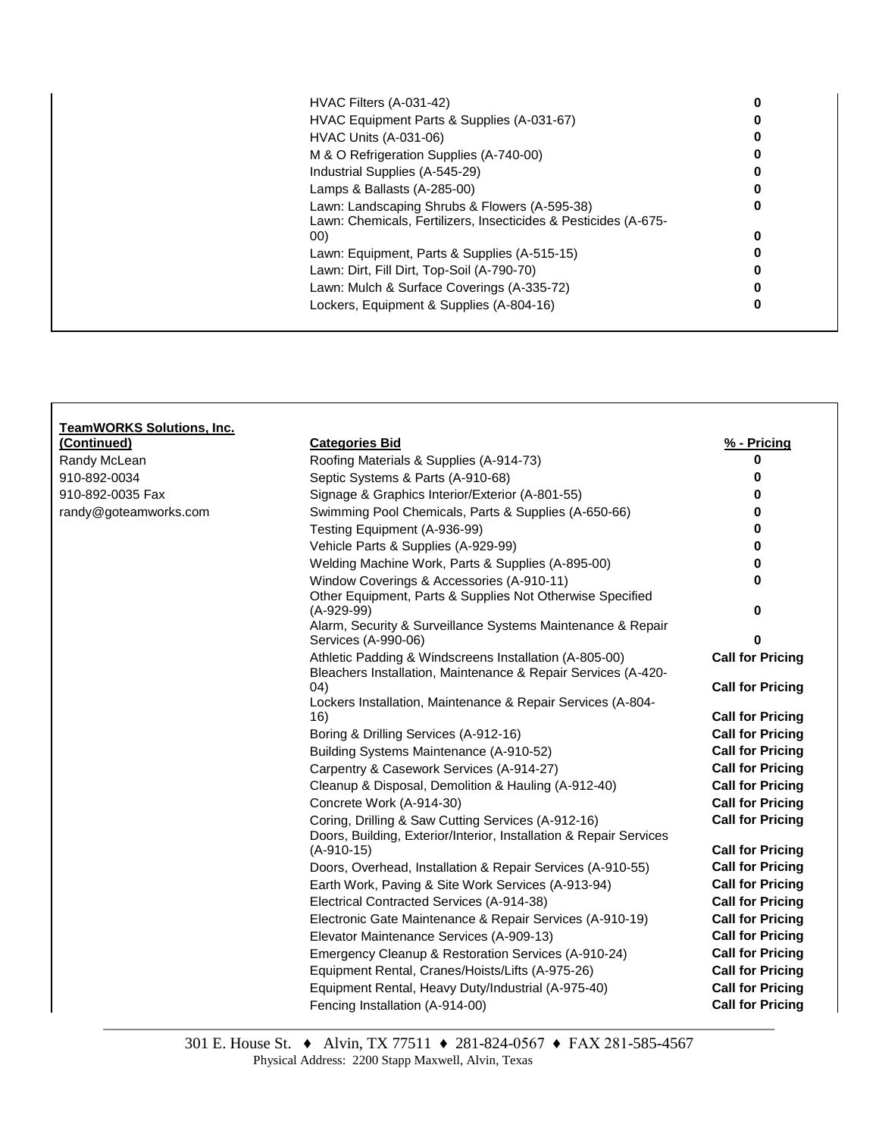| HVAC Filters (A-031-42)                                                                                          |   |
|------------------------------------------------------------------------------------------------------------------|---|
| HVAC Equipment Parts & Supplies (A-031-67)                                                                       |   |
| <b>HVAC Units (A-031-06)</b>                                                                                     |   |
| M & O Refrigeration Supplies (A-740-00)                                                                          |   |
| Industrial Supplies (A-545-29)                                                                                   |   |
| Lamps & Ballasts (A-285-00)                                                                                      |   |
| Lawn: Landscaping Shrubs & Flowers (A-595-38)<br>Lawn: Chemicals, Fertilizers, Insecticides & Pesticides (A-675- | 0 |
| 00)                                                                                                              | 0 |
| Lawn: Equipment, Parts & Supplies (A-515-15)                                                                     |   |
| Lawn: Dirt, Fill Dirt, Top-Soil (A-790-70)                                                                       |   |
| Lawn: Mulch & Surface Coverings (A-335-72)                                                                       |   |
| Lockers, Equipment & Supplies (A-804-16)                                                                         | O |

| TeamWORKS Solutions, Inc.<br>(Continued) | <b>Categories Bid</b>                                                                                                    | % - Pricing                                        |
|------------------------------------------|--------------------------------------------------------------------------------------------------------------------------|----------------------------------------------------|
| Randy McLean                             | Roofing Materials & Supplies (A-914-73)                                                                                  | 0                                                  |
| 910-892-0034                             | Septic Systems & Parts (A-910-68)                                                                                        | 0                                                  |
| 910-892-0035 Fax                         | Signage & Graphics Interior/Exterior (A-801-55)                                                                          | 0                                                  |
| randy@goteamworks.com                    | Swimming Pool Chemicals, Parts & Supplies (A-650-66)                                                                     | <sup>0</sup>                                       |
|                                          | Testing Equipment (A-936-99)                                                                                             | 0                                                  |
|                                          | Vehicle Parts & Supplies (A-929-99)                                                                                      | 0                                                  |
|                                          | Welding Machine Work, Parts & Supplies (A-895-00)                                                                        | 0                                                  |
|                                          | Window Coverings & Accessories (A-910-11)                                                                                | 0                                                  |
|                                          | Other Equipment, Parts & Supplies Not Otherwise Specified                                                                |                                                    |
|                                          | $(A-929-99)$                                                                                                             | 0                                                  |
|                                          | Alarm, Security & Surveillance Systems Maintenance & Repair                                                              |                                                    |
|                                          | Services (A-990-06)                                                                                                      | 0                                                  |
|                                          | Athletic Padding & Windscreens Installation (A-805-00)                                                                   | <b>Call for Pricing</b>                            |
|                                          | Bleachers Installation, Maintenance & Repair Services (A-420-                                                            |                                                    |
|                                          | (04)                                                                                                                     | <b>Call for Pricing</b>                            |
|                                          | Lockers Installation, Maintenance & Repair Services (A-804-                                                              |                                                    |
|                                          | 16)<br>Boring & Drilling Services (A-912-16)                                                                             | <b>Call for Pricing</b><br><b>Call for Pricing</b> |
|                                          | Building Systems Maintenance (A-910-52)                                                                                  | <b>Call for Pricing</b>                            |
|                                          | Carpentry & Casework Services (A-914-27)                                                                                 | <b>Call for Pricing</b>                            |
|                                          |                                                                                                                          | <b>Call for Pricing</b>                            |
|                                          | Cleanup & Disposal, Demolition & Hauling (A-912-40)                                                                      |                                                    |
|                                          | Concrete Work (A-914-30)                                                                                                 | <b>Call for Pricing</b>                            |
|                                          | Coring, Drilling & Saw Cutting Services (A-912-16)<br>Doors, Building, Exterior/Interior, Installation & Repair Services | <b>Call for Pricing</b>                            |
|                                          | $(A-910-15)$                                                                                                             | <b>Call for Pricing</b>                            |
|                                          | Doors, Overhead, Installation & Repair Services (A-910-55)                                                               | <b>Call for Pricing</b>                            |
|                                          | Earth Work, Paving & Site Work Services (A-913-94)                                                                       | <b>Call for Pricing</b>                            |
|                                          | Electrical Contracted Services (A-914-38)                                                                                | <b>Call for Pricing</b>                            |
|                                          | Electronic Gate Maintenance & Repair Services (A-910-19)                                                                 | <b>Call for Pricing</b>                            |
|                                          | Elevator Maintenance Services (A-909-13)                                                                                 | <b>Call for Pricing</b>                            |
|                                          | Emergency Cleanup & Restoration Services (A-910-24)                                                                      | <b>Call for Pricing</b>                            |
|                                          | Equipment Rental, Cranes/Hoists/Lifts (A-975-26)                                                                         | <b>Call for Pricing</b>                            |
|                                          | Equipment Rental, Heavy Duty/Industrial (A-975-40)                                                                       | <b>Call for Pricing</b>                            |
|                                          | Fencing Installation (A-914-00)                                                                                          | <b>Call for Pricing</b>                            |
|                                          |                                                                                                                          |                                                    |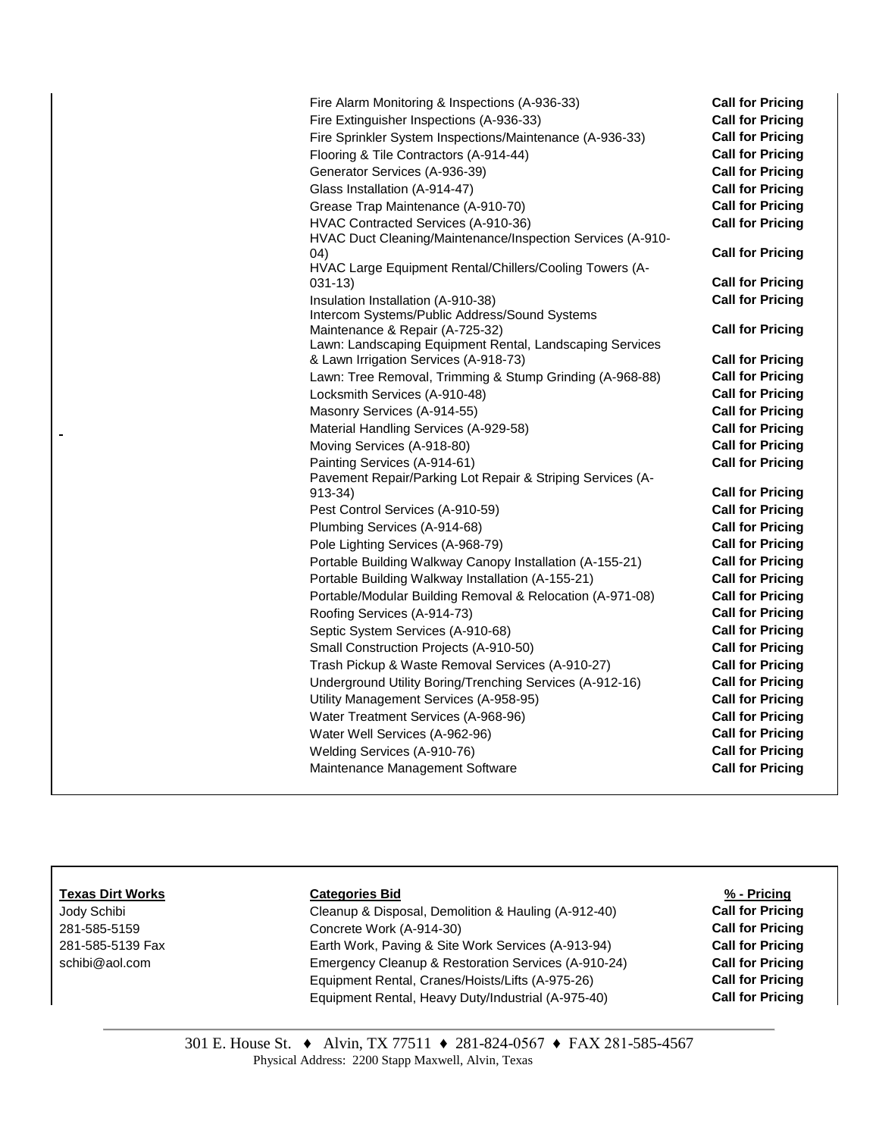| Fire Alarm Monitoring & Inspections (A-936-33)                                             | <b>Call for Pricing</b> |
|--------------------------------------------------------------------------------------------|-------------------------|
| Fire Extinguisher Inspections (A-936-33)                                                   | <b>Call for Pricing</b> |
| Fire Sprinkler System Inspections/Maintenance (A-936-33)                                   | <b>Call for Pricing</b> |
| Flooring & Tile Contractors (A-914-44)                                                     | <b>Call for Pricing</b> |
| Generator Services (A-936-39)                                                              | <b>Call for Pricing</b> |
| Glass Installation (A-914-47)                                                              | <b>Call for Pricing</b> |
| Grease Trap Maintenance (A-910-70)                                                         | <b>Call for Pricing</b> |
| HVAC Contracted Services (A-910-36)                                                        | <b>Call for Pricing</b> |
| HVAC Duct Cleaning/Maintenance/Inspection Services (A-910-                                 |                         |
| 04)                                                                                        | <b>Call for Pricing</b> |
| HVAC Large Equipment Rental/Chillers/Cooling Towers (A-                                    |                         |
| 031-13)                                                                                    | <b>Call for Pricing</b> |
| Insulation Installation (A-910-38)                                                         | <b>Call for Pricing</b> |
| Intercom Systems/Public Address/Sound Systems                                              |                         |
| Maintenance & Repair (A-725-32)                                                            | <b>Call for Pricing</b> |
| Lawn: Landscaping Equipment Rental, Landscaping Services                                   | <b>Call for Pricing</b> |
| & Lawn Irrigation Services (A-918-73)                                                      | <b>Call for Pricing</b> |
| Lawn: Tree Removal, Trimming & Stump Grinding (A-968-88)<br>Locksmith Services (A-910-48)  | <b>Call for Pricing</b> |
| Masonry Services (A-914-55)                                                                | <b>Call for Pricing</b> |
|                                                                                            | <b>Call for Pricing</b> |
| Material Handling Services (A-929-58)                                                      | <b>Call for Pricing</b> |
| Moving Services (A-918-80)                                                                 | <b>Call for Pricing</b> |
| Painting Services (A-914-61)<br>Pavement Repair/Parking Lot Repair & Striping Services (A- |                         |
| 913-34)                                                                                    | <b>Call for Pricing</b> |
| Pest Control Services (A-910-59)                                                           | <b>Call for Pricing</b> |
| Plumbing Services (A-914-68)                                                               | <b>Call for Pricing</b> |
| Pole Lighting Services (A-968-79)                                                          | <b>Call for Pricing</b> |
| Portable Building Walkway Canopy Installation (A-155-21)                                   | <b>Call for Pricing</b> |
| Portable Building Walkway Installation (A-155-21)                                          | <b>Call for Pricing</b> |
| Portable/Modular Building Removal & Relocation (A-971-08)                                  | <b>Call for Pricing</b> |
| Roofing Services (A-914-73)                                                                | <b>Call for Pricing</b> |
| Septic System Services (A-910-68)                                                          | <b>Call for Pricing</b> |
| Small Construction Projects (A-910-50)                                                     | <b>Call for Pricing</b> |
| Trash Pickup & Waste Removal Services (A-910-27)                                           | <b>Call for Pricing</b> |
| Underground Utility Boring/Trenching Services (A-912-16)                                   | <b>Call for Pricing</b> |
| Utility Management Services (A-958-95)                                                     | <b>Call for Pricing</b> |
| Water Treatment Services (A-968-96)                                                        | <b>Call for Pricing</b> |
| Water Well Services (A-962-96)                                                             | <b>Call for Pricing</b> |
| Welding Services (A-910-76)                                                                | <b>Call for Pricing</b> |
| Maintenance Management Software                                                            | <b>Call for Pricing</b> |
|                                                                                            |                         |

### **Texas Dirt Works Categories Bid % - Pricing**

L.

Jody Schibi Cleanup & Disposal, Demolition & Hauling (A-912-40) **Call for Pricing** 281-585-5159 Concrete Work (A-914-30) **Call for Pricing** 281-585-5139 Fax Earth Work, Paving & Site Work Services (A-913-94) **Call for Pricing** [schibi@aol.com](mailto:schibi@aol.com) **Emergency Cleanup & Restoration Services (A-910-24)** Call for Pricing Equipment Rental, Cranes/Hoists/Lifts (A-975-26) **Call for Pricing** Equipment Rental, Heavy Duty/Industrial (A-975-40) **Call for Pricing**